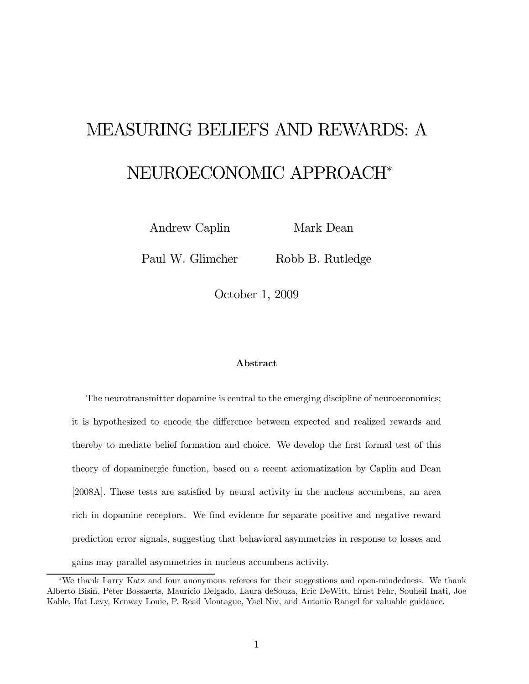# MEASURING BELIEFS AND REWARDS: A NEUROECONOMIC APPROACH<sup>∗</sup>

Andrew Caplin

Mark Dean

Paul W. Glimcher

Robb B. Rutledge

October 1, 2009

#### Abstract

The neurotransmitter dopamine is central to the emerging discipline of neuroeconomics; it is hypothesized to encode the difference between expected and realized rewards and thereby to mediate belief formation and choice. We develop the first formal test of this theory of dopaminergic function, based on a recent axiomatization by Caplin and Dean [2008A]. These tests are satisfied by neural activity in the nucleus accumbens, an area rich in dopamine receptors. We find evidence for separate positive and negative reward prediction error signals, suggesting that behavioral asymmetries in response to losses and gains may parallel asymmetries in nucleus accumbens activity.

<sup>∗</sup>We thank Larry Katz and four anonymous referees for their suggestions and open-mindedness. We thank Alberto Bisin, Peter Bossaerts, Mauricio Delgado, Laura deSouza, Eric DeWitt, Ernst Fehr, Souheil Inati, Joe Kable, Ifat Levy, Kenway Louie, P. Read Montague, Yael Niv, and Antonio Rangel for valuable guidance.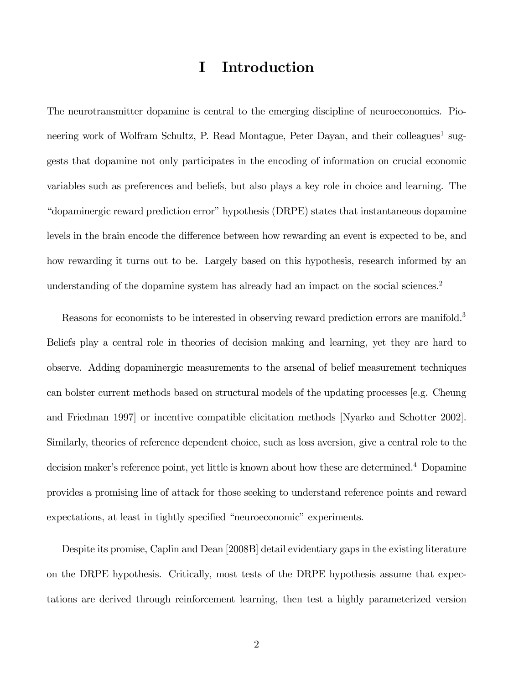## I Introduction

The neurotransmitter dopamine is central to the emerging discipline of neuroeconomics. Pioneering work of Wolfram Schultz, P. Read Montague, Peter Dayan, and their colleagues<sup>1</sup> suggests that dopamine not only participates in the encoding of information on crucial economic variables such as preferences and beliefs, but also plays a key role in choice and learning. The "dopaminergic reward prediction error" hypothesis (DRPE) states that instantaneous dopamine levels in the brain encode the difference between how rewarding an event is expected to be, and how rewarding it turns out to be. Largely based on this hypothesis, research informed by an understanding of the dopamine system has already had an impact on the social sciences.<sup>2</sup>

Reasons for economists to be interested in observing reward prediction errors are manifold.<sup>3</sup> Beliefs play a central role in theories of decision making and learning, yet they are hard to observe. Adding dopaminergic measurements to the arsenal of belief measurement techniques can bolster current methods based on structural models of the updating processes [e.g. Cheung and Friedman 1997] or incentive compatible elicitation methods [Nyarko and Schotter 2002]. Similarly, theories of reference dependent choice, such as loss aversion, give a central role to the decision maker's reference point, yet little is known about how these are determined.<sup>4</sup> Dopamine provides a promising line of attack for those seeking to understand reference points and reward expectations, at least in tightly specified "neuroeconomic" experiments.

Despite its promise, Caplin and Dean [2008B] detail evidentiary gaps in the existing literature on the DRPE hypothesis. Critically, most tests of the DRPE hypothesis assume that expectations are derived through reinforcement learning, then test a highly parameterized version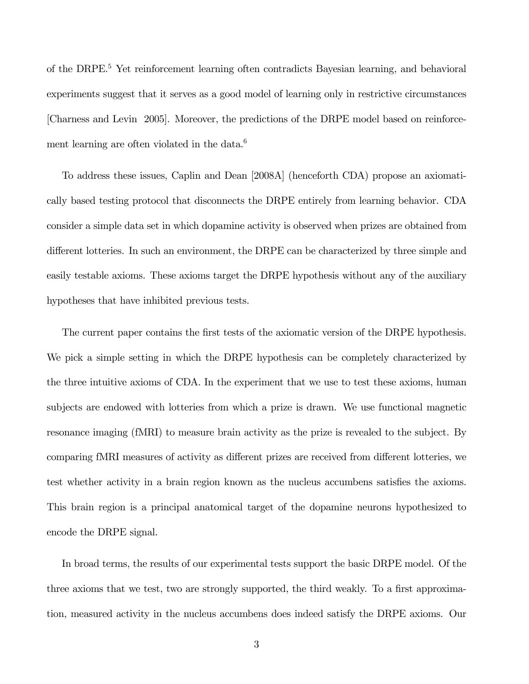of the DRPE.<sup>5</sup> Yet reinforcement learning often contradicts Bayesian learning, and behavioral experiments suggest that it serves as a good model of learning only in restrictive circumstances [Charness and Levin 2005]. Moreover, the predictions of the DRPE model based on reinforcement learning are often violated in the data.<sup>6</sup>

To address these issues, Caplin and Dean [2008A] (henceforth CDA) propose an axiomatically based testing protocol that disconnects the DRPE entirely from learning behavior. CDA consider a simple data set in which dopamine activity is observed when prizes are obtained from different lotteries. In such an environment, the DRPE can be characterized by three simple and easily testable axioms. These axioms target the DRPE hypothesis without any of the auxiliary hypotheses that have inhibited previous tests.

The current paper contains the first tests of the axiomatic version of the DRPE hypothesis. We pick a simple setting in which the DRPE hypothesis can be completely characterized by the three intuitive axioms of CDA. In the experiment that we use to test these axioms, human subjects are endowed with lotteries from which a prize is drawn. We use functional magnetic resonance imaging (fMRI) to measure brain activity as the prize is revealed to the subject. By comparing fMRI measures of activity as different prizes are received from different lotteries, we test whether activity in a brain region known as the nucleus accumbens satisfies the axioms. This brain region is a principal anatomical target of the dopamine neurons hypothesized to encode the DRPE signal.

In broad terms, the results of our experimental tests support the basic DRPE model. Of the three axioms that we test, two are strongly supported, the third weakly. To a first approximation, measured activity in the nucleus accumbens does indeed satisfy the DRPE axioms. Our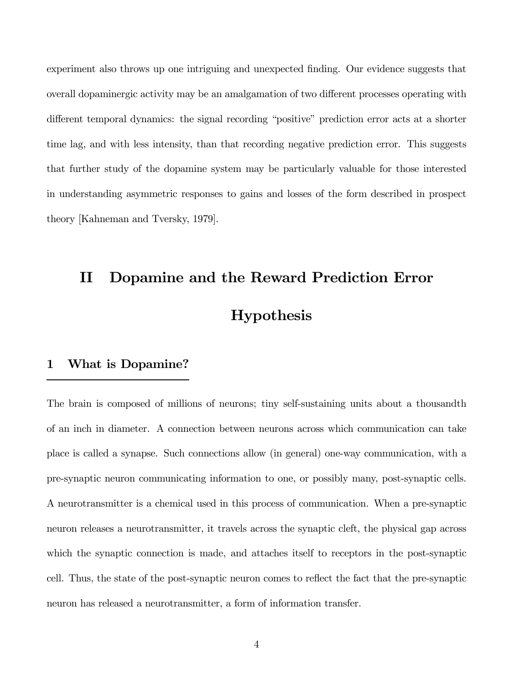experiment also throws up one intriguing and unexpected finding. Our evidence suggests that overall dopaminergic activity may be an amalgamation of two different processes operating with different temporal dynamics: the signal recording "positive" prediction error acts at a shorter time lag, and with less intensity, than that recording negative prediction error. This suggests that further study of the dopamine system may be particularly valuable for those interested in understanding asymmetric responses to gains and losses of the form described in prospect theory [Kahneman and Tversky, 1979].

## II Dopamine and the Reward Prediction Error Hypothesis

## 1 What is Dopamine?

The brain is composed of millions of neurons; tiny self-sustaining units about a thousandth of an inch in diameter. A connection between neurons across which communication can take place is called a synapse. Such connections allow (in general) one-way communication, with a pre-synaptic neuron communicating information to one, or possibly many, post-synaptic cells. A neurotransmitter is a chemical used in this process of communication. When a pre-synaptic neuron releases a neurotransmitter, it travels across the synaptic cleft, the physical gap across which the synaptic connection is made, and attaches itself to receptors in the post-synaptic cell. Thus, the state of the post-synaptic neuron comes to reflect the fact that the pre-synaptic neuron has released a neurotransmitter, a form of information transfer.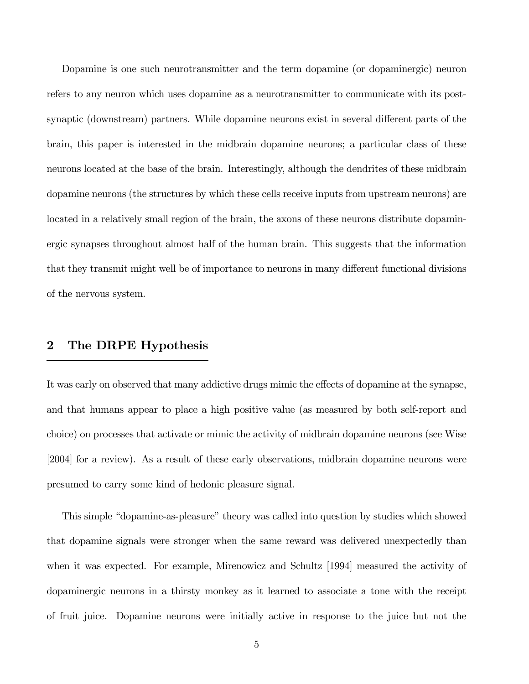Dopamine is one such neurotransmitter and the term dopamine (or dopaminergic) neuron refers to any neuron which uses dopamine as a neurotransmitter to communicate with its postsynaptic (downstream) partners. While dopamine neurons exist in several different parts of the brain, this paper is interested in the midbrain dopamine neurons; a particular class of these neurons located at the base of the brain. Interestingly, although the dendrites of these midbrain dopamine neurons (the structures by which these cells receive inputs from upstream neurons) are located in a relatively small region of the brain, the axons of these neurons distribute dopaminergic synapses throughout almost half of the human brain. This suggests that the information that they transmit might well be of importance to neurons in many different functional divisions of the nervous system.

## 2 The DRPE Hypothesis

It was early on observed that many addictive drugs mimic the effects of dopamine at the synapse, and that humans appear to place a high positive value (as measured by both self-report and choice) on processes that activate or mimic the activity of midbrain dopamine neurons (see Wise [2004] for a review). As a result of these early observations, midbrain dopamine neurons were presumed to carry some kind of hedonic pleasure signal.

This simple "dopamine-as-pleasure" theory was called into question by studies which showed that dopamine signals were stronger when the same reward was delivered unexpectedly than when it was expected. For example, Mirenowicz and Schultz [1994] measured the activity of dopaminergic neurons in a thirsty monkey as it learned to associate a tone with the receipt of fruit juice. Dopamine neurons were initially active in response to the juice but not the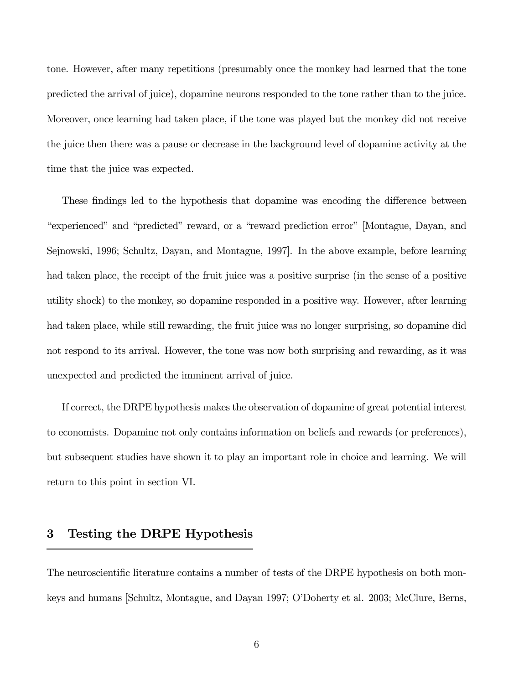tone. However, after many repetitions (presumably once the monkey had learned that the tone predicted the arrival of juice), dopamine neurons responded to the tone rather than to the juice. Moreover, once learning had taken place, if the tone was played but the monkey did not receive the juice then there was a pause or decrease in the background level of dopamine activity at the time that the juice was expected.

These findings led to the hypothesis that dopamine was encoding the difference between "experienced" and "predicted" reward, or a "reward prediction error" [Montague, Dayan, and Sejnowski, 1996; Schultz, Dayan, and Montague, 1997]. In the above example, before learning had taken place, the receipt of the fruit juice was a positive surprise (in the sense of a positive utility shock) to the monkey, so dopamine responded in a positive way. However, after learning had taken place, while still rewarding, the fruit juice was no longer surprising, so dopamine did not respond to its arrival. However, the tone was now both surprising and rewarding, as it was unexpected and predicted the imminent arrival of juice.

If correct, the DRPE hypothesis makes the observation of dopamine of great potential interest to economists. Dopamine not only contains information on beliefs and rewards (or preferences), but subsequent studies have shown it to play an important role in choice and learning. We will return to this point in section VI.

## 3 Testing the DRPE Hypothesis

The neuroscientific literature contains a number of tests of the DRPE hypothesis on both monkeys and humans [Schultz, Montague, and Dayan 1997; O'Doherty et al. 2003; McClure, Berns,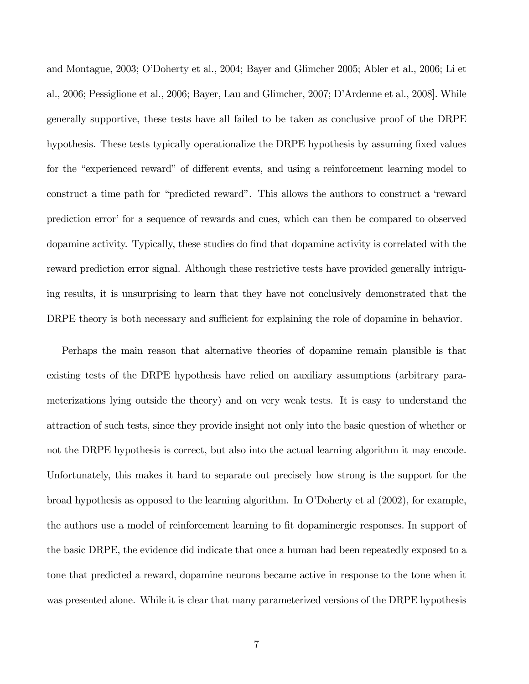and Montague, 2003; O'Doherty et al., 2004; Bayer and Glimcher 2005; Abler et al., 2006; Li et al., 2006; Pessiglione et al., 2006; Bayer, Lau and Glimcher, 2007; D'Ardenne et al., 2008]. While generally supportive, these tests have all failed to be taken as conclusive proof of the DRPE hypothesis. These tests typically operationalize the DRPE hypothesis by assuming fixed values for the "experienced reward" of different events, and using a reinforcement learning model to construct a time path for "predicted reward". This allows the authors to construct a 'reward prediction error' for a sequence of rewards and cues, which can then be compared to observed dopamine activity. Typically, these studies do find that dopamine activity is correlated with the reward prediction error signal. Although these restrictive tests have provided generally intriguing results, it is unsurprising to learn that they have not conclusively demonstrated that the DRPE theory is both necessary and sufficient for explaining the role of dopamine in behavior.

Perhaps the main reason that alternative theories of dopamine remain plausible is that existing tests of the DRPE hypothesis have relied on auxiliary assumptions (arbitrary parameterizations lying outside the theory) and on very weak tests. It is easy to understand the attraction of such tests, since they provide insight not only into the basic question of whether or not the DRPE hypothesis is correct, but also into the actual learning algorithm it may encode. Unfortunately, this makes it hard to separate out precisely how strong is the support for the broad hypothesis as opposed to the learning algorithm. In O'Doherty et al (2002), for example, the authors use a model of reinforcement learning to fit dopaminergic responses. In support of the basic DRPE, the evidence did indicate that once a human had been repeatedly exposed to a tone that predicted a reward, dopamine neurons became active in response to the tone when it was presented alone. While it is clear that many parameterized versions of the DRPE hypothesis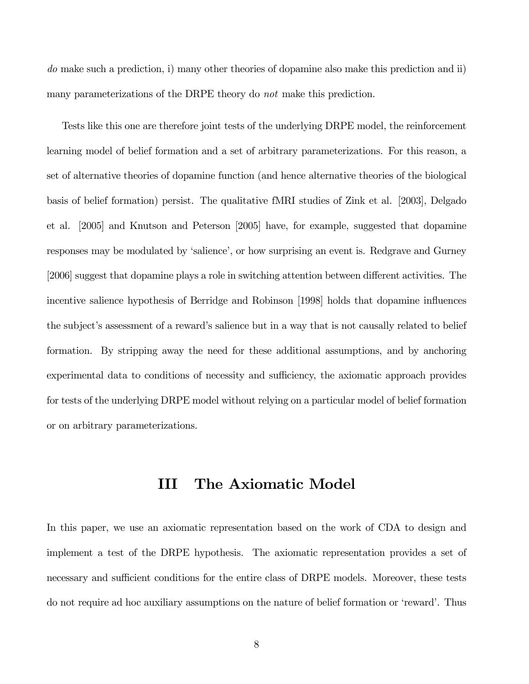do make such a prediction, i) many other theories of dopamine also make this prediction and ii) many parameterizations of the DRPE theory do not make this prediction.

Tests like this one are therefore joint tests of the underlying DRPE model, the reinforcement learning model of belief formation and a set of arbitrary parameterizations. For this reason, a set of alternative theories of dopamine function (and hence alternative theories of the biological basis of belief formation) persist. The qualitative fMRI studies of Zink et al. [2003], Delgado et al. [2005] and Knutson and Peterson [2005] have, for example, suggested that dopamine responses may be modulated by 'salience', or how surprising an event is. Redgrave and Gurney [2006] suggest that dopamine plays a role in switching attention between different activities. The incentive salience hypothesis of Berridge and Robinson [1998] holds that dopamine influences the subject's assessment of a reward's salience but in a way that is not causally related to belief formation. By stripping away the need for these additional assumptions, and by anchoring experimental data to conditions of necessity and sufficiency, the axiomatic approach provides for tests of the underlying DRPE model without relying on a particular model of belief formation or on arbitrary parameterizations.

## III The Axiomatic Model

In this paper, we use an axiomatic representation based on the work of CDA to design and implement a test of the DRPE hypothesis. The axiomatic representation provides a set of necessary and sufficient conditions for the entire class of DRPE models. Moreover, these tests do not require ad hoc auxiliary assumptions on the nature of belief formation or 'reward'. Thus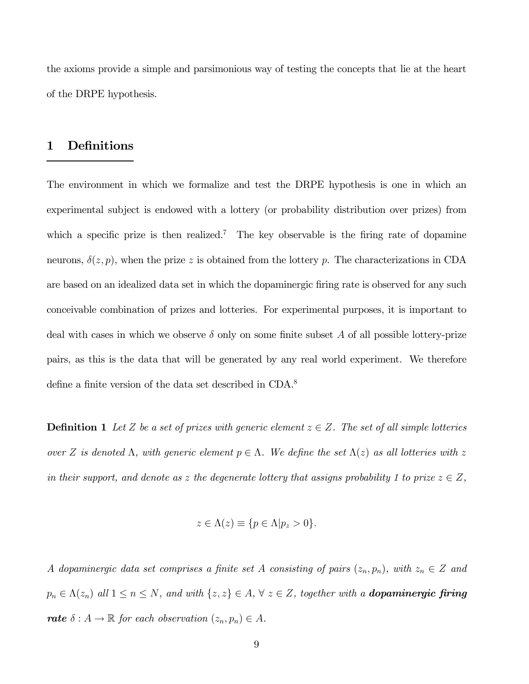the axioms provide a simple and parsimonious way of testing the concepts that lie at the heart of the DRPE hypothesis.

## 1 Definitions

The environment in which we formalize and test the DRPE hypothesis is one in which an experimental subject is endowed with a lottery (or probability distribution over prizes) from which a specific prize is then realized.<sup>7</sup> The key observable is the firing rate of dopamine neurons,  $\delta(z, p)$ , when the prize z is obtained from the lottery p. The characterizations in CDA are based on an idealized data set in which the dopaminergic firing rate is observed for any such conceivable combination of prizes and lotteries. For experimental purposes, it is important to deal with cases in which we observe  $\delta$  only on some finite subset A of all possible lottery-prize pairs, as this is the data that will be generated by any real world experiment. We therefore define a finite version of the data set described in CDA.<sup>8</sup>

**Definition 1** Let Z be a set of prizes with generic element  $z \in Z$ . The set of all simple lotteries over Z is denoted Λ, with generic element  $p \in \Lambda$ . We define the set  $\Lambda(z)$  as all lotteries with z in their support, and denote as z the degenerate lottery that assigns probability 1 to prize  $z \in Z$ ,

$$
z \in \Lambda(z) \equiv \{ p \in \Lambda | p_z > 0 \}.
$$

A dopaminergic data set comprises a finite set A consisting of pairs  $(z_n, p_n)$ , with  $z_n \in \mathbb{Z}$  and  $p_n \in \Lambda(z_n)$  all  $1 \le n \le N$ , and with  $\{z, z\} \in A$ ,  $\forall z \in Z$ , together with a **dopaminergic firing** rate  $\delta : A \to \mathbb{R}$  for each observation  $(z_n, p_n) \in A$ .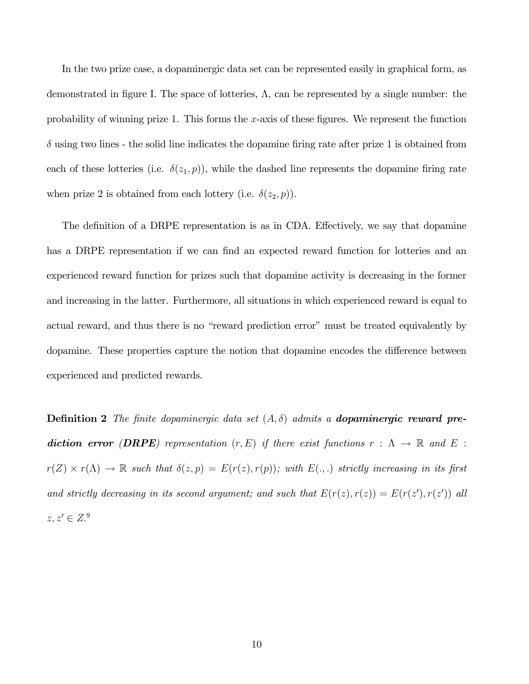In the two prize case, a dopaminergic data set can be represented easily in graphical form, as demonstrated in figure I. The space of lotteries,  $\Lambda$ , can be represented by a single number: the probability of winning prize 1. This forms the  $x$ -axis of these figures. We represent the function  $\delta$  using two lines - the solid line indicates the dopamine firing rate after prize 1 is obtained from each of these lotteries (i.e.  $\delta(z_1, p)$ ), while the dashed line represents the dopamine firing rate when prize 2 is obtained from each lottery (i.e.  $\delta(z_2, p)$ ).

The definition of a DRPE representation is as in CDA. Effectively, we say that dopamine has a DRPE representation if we can find an expected reward function for lotteries and an experienced reward function for prizes such that dopamine activity is decreasing in the former and increasing in the latter. Furthermore, all situations in which experienced reward is equal to actual reward, and thus there is no "reward prediction error" must be treated equivalently by dopamine. These properties capture the notion that dopamine encodes the difference between experienced and predicted rewards.

**Definition 2** The finite dopaminergic data set  $(A, \delta)$  admits a **dopaminergic reward pre**diction error (DRPE) representation  $(r, E)$  if there exist functions  $r : \Lambda \to \mathbb{R}$  and  $E$ :  $r(Z) \times r(\Lambda) \to \mathbb{R}$  such that  $\delta(z, p) = E(r(z), r(p))$ ; with  $E(.,.)$  strictly increasing in its first and strictly decreasing in its second argument; and such that  $E(r(z), r(z)) = E(r(z'), r(z'))$  all  $z, z' \in Z$ .<sup>9</sup>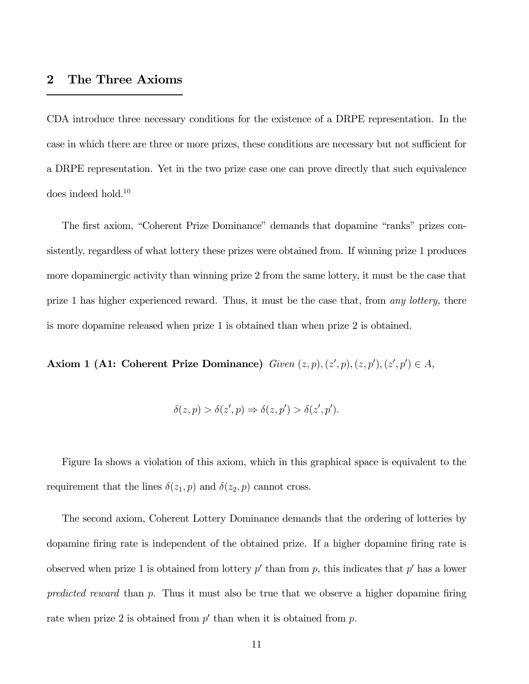## 2 The Three Axioms

CDA introduce three necessary conditions for the existence of a DRPE representation. In the case in which there are three or more prizes, these conditions are necessary but not sufficient for a DRPE representation. Yet in the two prize case one can prove directly that such equivalence does indeed hold.10

The first axiom, "Coherent Prize Dominance" demands that dopamine "ranks" prizes consistently, regardless of what lottery these prizes were obtained from. If winning prize 1 produces more dopaminergic activity than winning prize 2 from the same lottery, it must be the case that prize 1 has higher experienced reward. Thus, it must be the case that, from any lottery, there is more dopamine released when prize 1 is obtained than when prize 2 is obtained.

**Axiom 1 (A1: Coherent Prize Dominance)** Given  $(z, p)$ ,  $(z', p)$ ,  $(z, p')$ ,  $(z', p') \in A$ ,

$$
\delta(z,p) > \delta(z',p) \Rightarrow \delta(z,p') > \delta(z',p').
$$

Figure Ia shows a violation of this axiom, which in this graphical space is equivalent to the requirement that the lines  $\delta(z_1, p)$  and  $\delta(z_2, p)$  cannot cross.

The second axiom, Coherent Lottery Dominance demands that the ordering of lotteries by dopamine firing rate is independent of the obtained prize. If a higher dopamine firing rate is observed when prize 1 is obtained from lottery  $p'$  than from p, this indicates that  $p'$  has a lower predicted reward than  $p$ . Thus it must also be true that we observe a higher dopamine firing rate when prize 2 is obtained from  $p'$  than when it is obtained from p.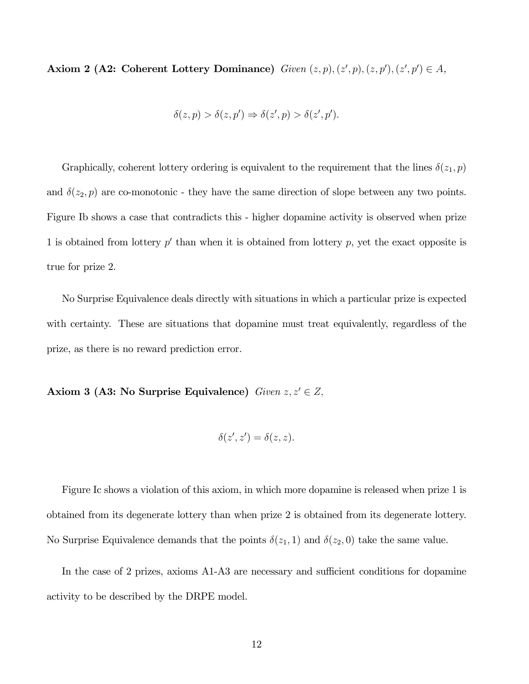**Axiom 2 (A2: Coherent Lottery Dominance)** Given  $(z, p), (z', p), (z, p'), (z', p') \in A$ ,

$$
\delta(z,p) > \delta(z,p') \Rightarrow \delta(z',p) > \delta(z',p').
$$

Graphically, coherent lottery ordering is equivalent to the requirement that the lines  $\delta(z_1, p)$ and  $\delta(z_2, p)$  are co-monotonic - they have the same direction of slope between any two points. Figure Ib shows a case that contradicts this - higher dopamine activity is observed when prize 1 is obtained from lottery  $p'$  than when it is obtained from lottery  $p$ , yet the exact opposite is true for prize 2.

No Surprise Equivalence deals directly with situations in which a particular prize is expected with certainty. These are situations that dopamine must treat equivalently, regardless of the prize, as there is no reward prediction error.

Axiom 3 (A3: No Surprise Equivalence) Given  $z, z' \in Z$ ,

$$
\delta(z',z')=\delta(z,z).
$$

Figure Ic shows a violation of this axiom, in which more dopamine is released when prize 1 is obtained from its degenerate lottery than when prize 2 is obtained from its degenerate lottery. No Surprise Equivalence demands that the points  $\delta(z_1, 1)$  and  $\delta(z_2, 0)$  take the same value.

In the case of 2 prizes, axioms A1-A3 are necessary and sufficient conditions for dopamine activity to be described by the DRPE model.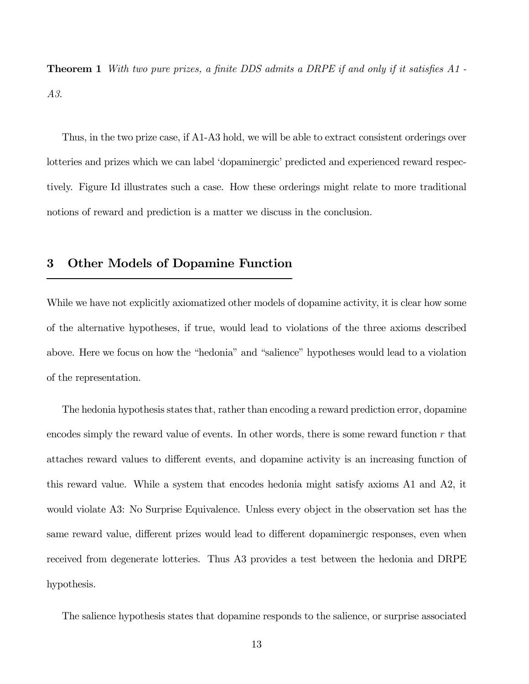**Theorem 1** With two pure prizes, a finite DDS admits a DRPE if and only if it satisfies A1 -A3.

Thus, in the two prize case, if A1-A3 hold, we will be able to extract consistent orderings over lotteries and prizes which we can label 'dopaminergic' predicted and experienced reward respectively. Figure Id illustrates such a case. How these orderings might relate to more traditional notions of reward and prediction is a matter we discuss in the conclusion.

## 3 Other Models of Dopamine Function

While we have not explicitly axiomatized other models of dopamine activity, it is clear how some of the alternative hypotheses, if true, would lead to violations of the three axioms described above. Here we focus on how the "hedonia" and "salience" hypotheses would lead to a violation of the representation.

The hedonia hypothesis states that, rather than encoding a reward prediction error, dopamine encodes simply the reward value of events. In other words, there is some reward function  $r$  that attaches reward values to different events, and dopamine activity is an increasing function of this reward value. While a system that encodes hedonia might satisfy axioms A1 and A2, it would violate A3: No Surprise Equivalence. Unless every object in the observation set has the same reward value, different prizes would lead to different dopaminergic responses, even when received from degenerate lotteries. Thus A3 provides a test between the hedonia and DRPE hypothesis.

The salience hypothesis states that dopamine responds to the salience, or surprise associated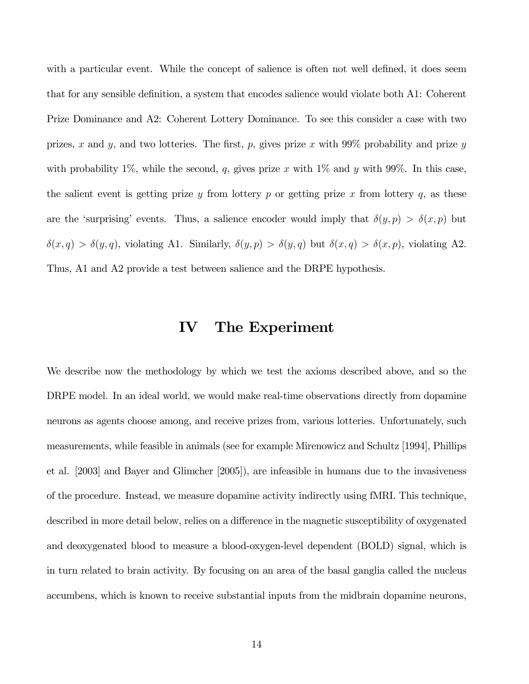with a particular event. While the concept of salience is often not well defined, it does seem that for any sensible definition, a system that encodes salience would violate both A1: Coherent Prize Dominance and A2: Coherent Lottery Dominance. To see this consider a case with two prizes, x and y, and two lotteries. The first, p, gives prize x with  $99\%$  probability and prize y with probability 1%, while the second, q, gives prize x with 1% and y with 99%. In this case, the salient event is getting prize  $y$  from lottery  $p$  or getting prize  $x$  from lottery  $q$ , as these are the 'surprising' events. Thus, a salience encoder would imply that  $\delta(y, p) > \delta(x, p)$  but  $\delta(x, q) > \delta(y, q)$ , violating A1. Similarly,  $\delta(y, p) > \delta(y, q)$  but  $\delta(x, q) > \delta(x, p)$ , violating A2. Thus, A1 and A2 provide a test between salience and the DRPE hypothesis.

## IV The Experiment

We describe now the methodology by which we test the axioms described above, and so the DRPE model. In an ideal world, we would make real-time observations directly from dopamine neurons as agents choose among, and receive prizes from, various lotteries. Unfortunately, such measurements, while feasible in animals (see for example Mirenowicz and Schultz [1994], Phillips et al. [2003] and Bayer and Glimcher [2005]), are infeasible in humans due to the invasiveness of the procedure. Instead, we measure dopamine activity indirectly using fMRI. This technique, described in more detail below, relies on a difference in the magnetic susceptibility of oxygenated and deoxygenated blood to measure a blood-oxygen-level dependent (BOLD) signal, which is in turn related to brain activity. By focusing on an area of the basal ganglia called the nucleus accumbens, which is known to receive substantial inputs from the midbrain dopamine neurons,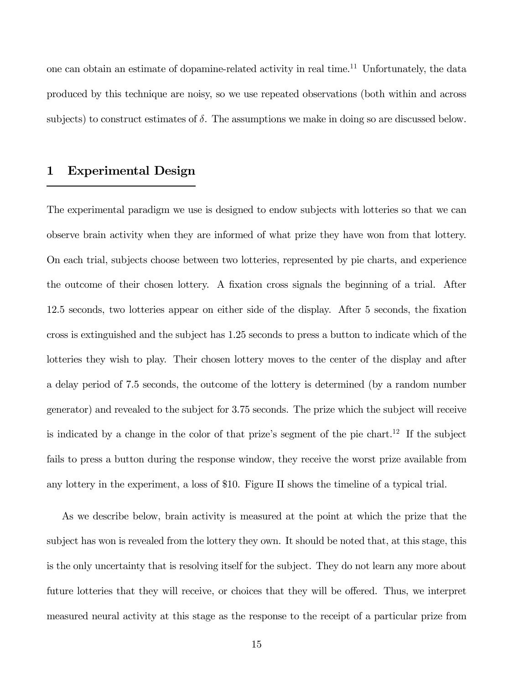one can obtain an estimate of dopamine-related activity in real time.11 Unfortunately, the data produced by this technique are noisy, so we use repeated observations (both within and across subjects) to construct estimates of  $\delta$ . The assumptions we make in doing so are discussed below.

## 1 Experimental Design

The experimental paradigm we use is designed to endow subjects with lotteries so that we can observe brain activity when they are informed of what prize they have won from that lottery. On each trial, subjects choose between two lotteries, represented by pie charts, and experience the outcome of their chosen lottery. A fixation cross signals the beginning of a trial. After 12.5 seconds, two lotteries appear on either side of the display. After 5 seconds, the fixation cross is extinguished and the subject has 1.25 seconds to press a button to indicate which of the lotteries they wish to play. Their chosen lottery moves to the center of the display and after a delay period of 7.5 seconds, the outcome of the lottery is determined (by a random number generator) and revealed to the subject for 3.75 seconds. The prize which the subject will receive is indicated by a change in the color of that prize's segment of the pie chart.<sup>12</sup> If the subject fails to press a button during the response window, they receive the worst prize available from any lottery in the experiment, a loss of \$10. Figure II shows the timeline of a typical trial.

As we describe below, brain activity is measured at the point at which the prize that the subject has won is revealed from the lottery they own. It should be noted that, at this stage, this is the only uncertainty that is resolving itself for the subject. They do not learn any more about future lotteries that they will receive, or choices that they will be offered. Thus, we interpret measured neural activity at this stage as the response to the receipt of a particular prize from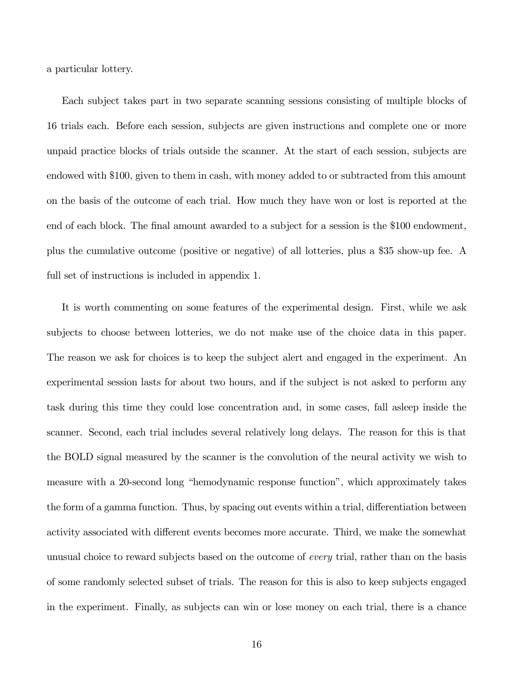a particular lottery.

Each subject takes part in two separate scanning sessions consisting of multiple blocks of 16 trials each. Before each session, subjects are given instructions and complete one or more unpaid practice blocks of trials outside the scanner. At the start of each session, subjects are endowed with \$100, given to them in cash, with money added to or subtracted from this amount on the basis of the outcome of each trial. How much they have won or lost is reported at the end of each block. The final amount awarded to a subject for a session is the \$100 endowment, plus the cumulative outcome (positive or negative) of all lotteries, plus a \$35 show-up fee. A full set of instructions is included in appendix 1.

It is worth commenting on some features of the experimental design. First, while we ask subjects to choose between lotteries, we do not make use of the choice data in this paper. The reason we ask for choices is to keep the subject alert and engaged in the experiment. An experimental session lasts for about two hours, and if the subject is not asked to perform any task during this time they could lose concentration and, in some cases, fall asleep inside the scanner. Second, each trial includes several relatively long delays. The reason for this is that the BOLD signal measured by the scanner is the convolution of the neural activity we wish to measure with a 20-second long "hemodynamic response function", which approximately takes the form of a gamma function. Thus, by spacing out events within a trial, differentiation between activity associated with different events becomes more accurate. Third, we make the somewhat unusual choice to reward subjects based on the outcome of every trial, rather than on the basis of some randomly selected subset of trials. The reason for this is also to keep subjects engaged in the experiment. Finally, as subjects can win or lose money on each trial, there is a chance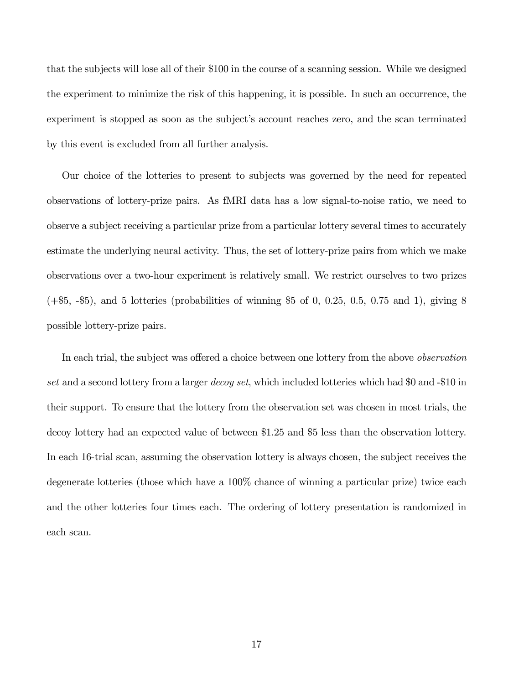that the subjects will lose all of their \$100 in the course of a scanning session. While we designed the experiment to minimize the risk of this happening, it is possible. In such an occurrence, the experiment is stopped as soon as the subject's account reaches zero, and the scan terminated by this event is excluded from all further analysis.

Our choice of the lotteries to present to subjects was governed by the need for repeated observations of lottery-prize pairs. As fMRI data has a low signal-to-noise ratio, we need to observe a subject receiving a particular prize from a particular lottery several times to accurately estimate the underlying neural activity. Thus, the set of lottery-prize pairs from which we make observations over a two-hour experiment is relatively small. We restrict ourselves to two prizes  $(+\$5, -\$5)$ , and 5 lotteries (probabilities of winning \$5 of 0, 0.25, 0.5, 0.75 and 1), giving 8 possible lottery-prize pairs.

In each trial, the subject was offered a choice between one lottery from the above *observation* set and a second lottery from a larger *decoy set*, which included lotteries which had \$0 and -\$10 in their support. To ensure that the lottery from the observation set was chosen in most trials, the decoy lottery had an expected value of between \$1.25 and \$5 less than the observation lottery. In each 16-trial scan, assuming the observation lottery is always chosen, the subject receives the degenerate lotteries (those which have a 100% chance of winning a particular prize) twice each and the other lotteries four times each. The ordering of lottery presentation is randomized in each scan.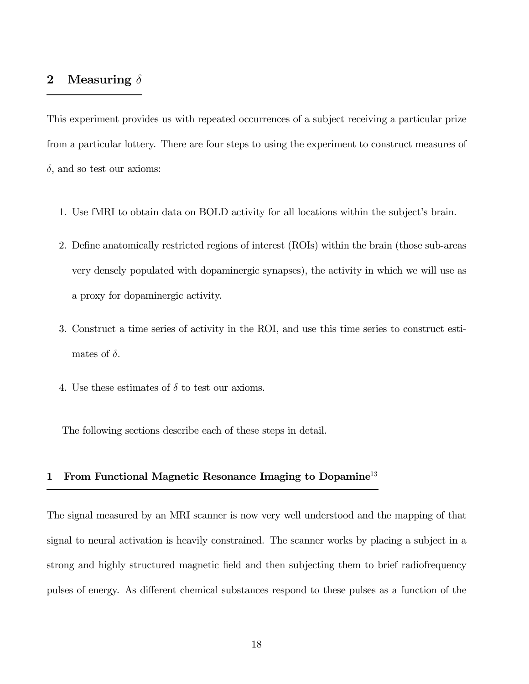## 2 Measuring  $\delta$

This experiment provides us with repeated occurrences of a subject receiving a particular prize from a particular lottery. There are four steps to using the experiment to construct measures of  $\delta$ , and so test our axioms:

- 1. Use fMRI to obtain data on BOLD activity for all locations within the subject's brain.
- 2. Define anatomically restricted regions of interest (ROIs) within the brain (those sub-areas very densely populated with dopaminergic synapses), the activity in which we will use as a proxy for dopaminergic activity.
- 3. Construct a time series of activity in the ROI, and use this time series to construct estimates of  $\delta$ .
- 4. Use these estimates of  $\delta$  to test our axioms.

The following sections describe each of these steps in detail.

## 1 From Functional Magnetic Resonance Imaging to Dopamine<sup>13</sup>

The signal measured by an MRI scanner is now very well understood and the mapping of that signal to neural activation is heavily constrained. The scanner works by placing a subject in a strong and highly structured magnetic field and then subjecting them to brief radiofrequency pulses of energy. As different chemical substances respond to these pulses as a function of the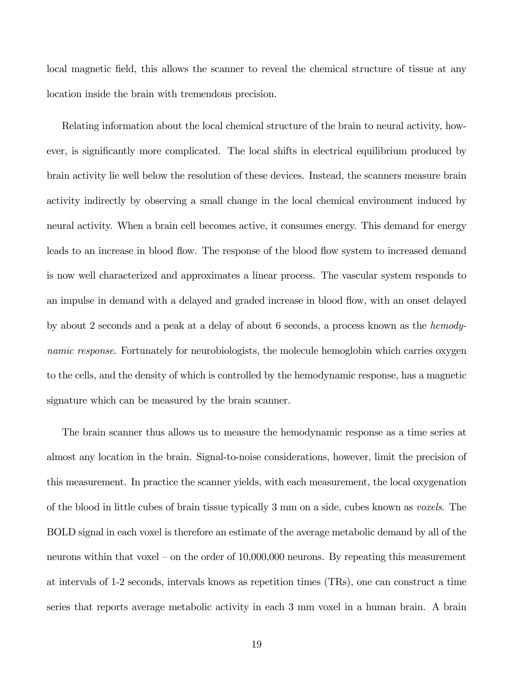local magnetic field, this allows the scanner to reveal the chemical structure of tissue at any location inside the brain with tremendous precision.

Relating information about the local chemical structure of the brain to neural activity, however, is significantly more complicated. The local shifts in electrical equilibrium produced by brain activity lie well below the resolution of these devices. Instead, the scanners measure brain activity indirectly by observing a small change in the local chemical environment induced by neural activity. When a brain cell becomes active, it consumes energy. This demand for energy leads to an increase in blood flow. The response of the blood flow system to increased demand is now well characterized and approximates a linear process. The vascular system responds to an impulse in demand with a delayed and graded increase in blood flow, with an onset delayed by about 2 seconds and a peak at a delay of about 6 seconds, a process known as the hemodynamic response. Fortunately for neurobiologists, the molecule hemoglobin which carries oxygen to the cells, and the density of which is controlled by the hemodynamic response, has a magnetic signature which can be measured by the brain scanner.

The brain scanner thus allows us to measure the hemodynamic response as a time series at almost any location in the brain. Signal-to-noise considerations, however, limit the precision of this measurement. In practice the scanner yields, with each measurement, the local oxygenation of the blood in little cubes of brain tissue typically 3 mm on a side, cubes known as voxels. The BOLD signal in each voxel is therefore an estimate of the average metabolic demand by all of the neurons within that voxel — on the order of 10,000,000 neurons. By repeating this measurement at intervals of 1-2 seconds, intervals knows as repetition times (TRs), one can construct a time series that reports average metabolic activity in each 3 mm voxel in a human brain. A brain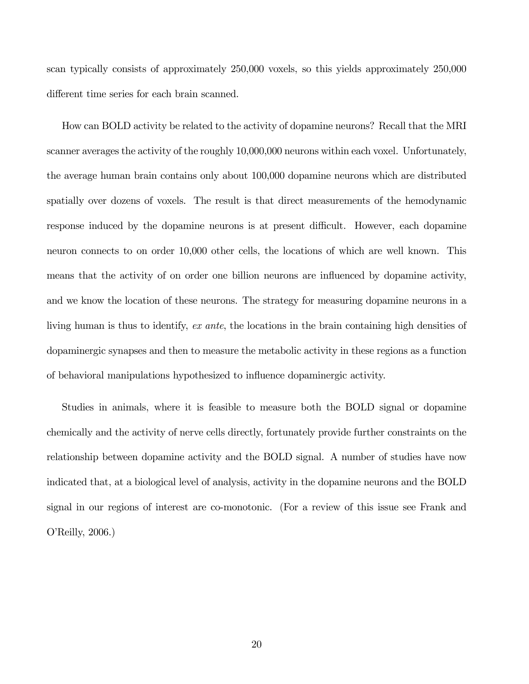scan typically consists of approximately 250,000 voxels, so this yields approximately 250,000 different time series for each brain scanned.

How can BOLD activity be related to the activity of dopamine neurons? Recall that the MRI scanner averages the activity of the roughly 10,000,000 neurons within each voxel. Unfortunately, the average human brain contains only about 100,000 dopamine neurons which are distributed spatially over dozens of voxels. The result is that direct measurements of the hemodynamic response induced by the dopamine neurons is at present difficult. However, each dopamine neuron connects to on order 10,000 other cells, the locations of which are well known. This means that the activity of on order one billion neurons are influenced by dopamine activity, and we know the location of these neurons. The strategy for measuring dopamine neurons in a living human is thus to identify, ex ante, the locations in the brain containing high densities of dopaminergic synapses and then to measure the metabolic activity in these regions as a function of behavioral manipulations hypothesized to influence dopaminergic activity.

Studies in animals, where it is feasible to measure both the BOLD signal or dopamine chemically and the activity of nerve cells directly, fortunately provide further constraints on the relationship between dopamine activity and the BOLD signal. A number of studies have now indicated that, at a biological level of analysis, activity in the dopamine neurons and the BOLD signal in our regions of interest are co-monotonic. (For a review of this issue see Frank and O'Reilly, 2006.)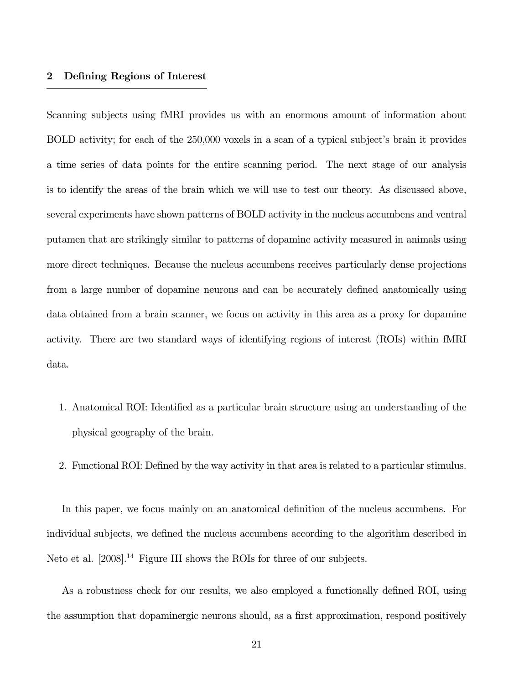#### 2 Defining Regions of Interest

Scanning subjects using fMRI provides us with an enormous amount of information about BOLD activity; for each of the 250,000 voxels in a scan of a typical subject's brain it provides a time series of data points for the entire scanning period. The next stage of our analysis is to identify the areas of the brain which we will use to test our theory. As discussed above, several experiments have shown patterns of BOLD activity in the nucleus accumbens and ventral putamen that are strikingly similar to patterns of dopamine activity measured in animals using more direct techniques. Because the nucleus accumbens receives particularly dense projections from a large number of dopamine neurons and can be accurately defined anatomically using data obtained from a brain scanner, we focus on activity in this area as a proxy for dopamine activity. There are two standard ways of identifying regions of interest (ROIs) within fMRI data.

- 1. Anatomical ROI: Identified as a particular brain structure using an understanding of the physical geography of the brain.
- 2. Functional ROI: Defined by the way activity in that area is related to a particular stimulus.

In this paper, we focus mainly on an anatomical definition of the nucleus accumbens. For individual subjects, we defined the nucleus accumbens according to the algorithm described in Neto et al.  $[2008]$ .<sup>14</sup> Figure III shows the ROIs for three of our subjects.

As a robustness check for our results, we also employed a functionally defined ROI, using the assumption that dopaminergic neurons should, as a first approximation, respond positively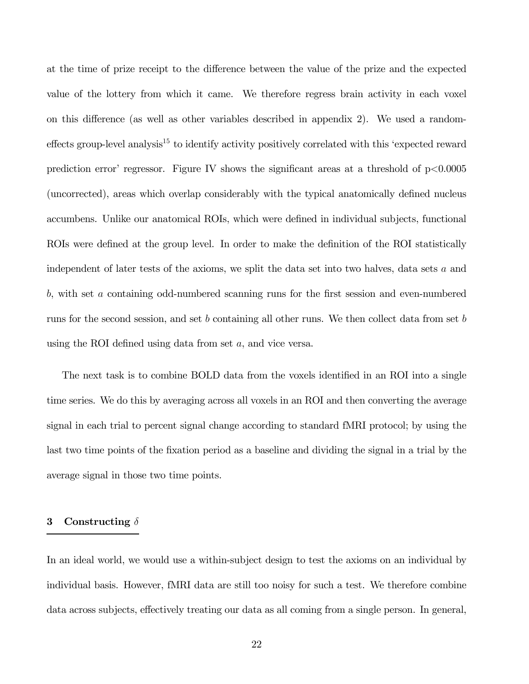at the time of prize receipt to the difference between the value of the prize and the expected value of the lottery from which it came. We therefore regress brain activity in each voxel on this difference (as well as other variables described in appendix 2). We used a randomeffects group-level analysis<sup>15</sup> to identify activity positively correlated with this 'expected reward prediction error' regressor. Figure IV shows the significant areas at a threshold of  $p<0.0005$ (uncorrected), areas which overlap considerably with the typical anatomically defined nucleus accumbens. Unlike our anatomical ROIs, which were defined in individual subjects, functional ROIs were defined at the group level. In order to make the definition of the ROI statistically independent of later tests of the axioms, we split the data set into two halves, data sets  $a$  and  $b$ , with set  $a$  containing odd-numbered scanning runs for the first session and even-numbered runs for the second session, and set  $b$  containing all other runs. We then collect data from set  $b$ using the ROI defined using data from set  $a$ , and vice versa.

The next task is to combine BOLD data from the voxels identified in an ROI into a single time series. We do this by averaging across all voxels in an ROI and then converting the average signal in each trial to percent signal change according to standard fMRI protocol; by using the last two time points of the fixation period as a baseline and dividing the signal in a trial by the average signal in those two time points.

#### 3 Constructing  $\delta$

In an ideal world, we would use a within-subject design to test the axioms on an individual by individual basis. However, fMRI data are still too noisy for such a test. We therefore combine data across subjects, effectively treating our data as all coming from a single person. In general,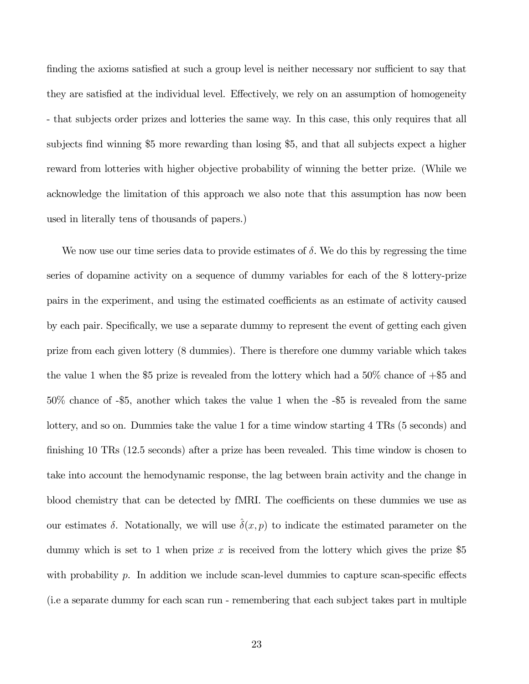finding the axioms satisfied at such a group level is neither necessary nor sufficient to say that they are satisfied at the individual level. Effectively, we rely on an assumption of homogeneity - that subjects order prizes and lotteries the same way. In this case, this only requires that all subjects find winning \$5 more rewarding than losing \$5, and that all subjects expect a higher reward from lotteries with higher objective probability of winning the better prize. (While we acknowledge the limitation of this approach we also note that this assumption has now been used in literally tens of thousands of papers.)

We now use our time series data to provide estimates of  $\delta$ . We do this by regressing the time series of dopamine activity on a sequence of dummy variables for each of the 8 lottery-prize pairs in the experiment, and using the estimated coefficients as an estimate of activity caused by each pair. Specifically, we use a separate dummy to represent the event of getting each given prize from each given lottery (8 dummies). There is therefore one dummy variable which takes the value 1 when the \$5 prize is revealed from the lottery which had a  $50\%$  chance of  $+$ \$5 and 50% chance of -\$5, another which takes the value 1 when the -\$5 is revealed from the same lottery, and so on. Dummies take the value 1 for a time window starting 4 TRs (5 seconds) and finishing 10 TRs (12.5 seconds) after a prize has been revealed. This time window is chosen to take into account the hemodynamic response, the lag between brain activity and the change in blood chemistry that can be detected by fMRI. The coefficients on these dummies we use as our estimates  $\delta$ . Notationally, we will use  $\delta(x, p)$  to indicate the estimated parameter on the dummy which is set to 1 when prize  $x$  is received from the lottery which gives the prize \$5 with probability  $p$ . In addition we include scan-level dummies to capture scan-specific effects (i.e a separate dummy for each scan run - remembering that each subject takes part in multiple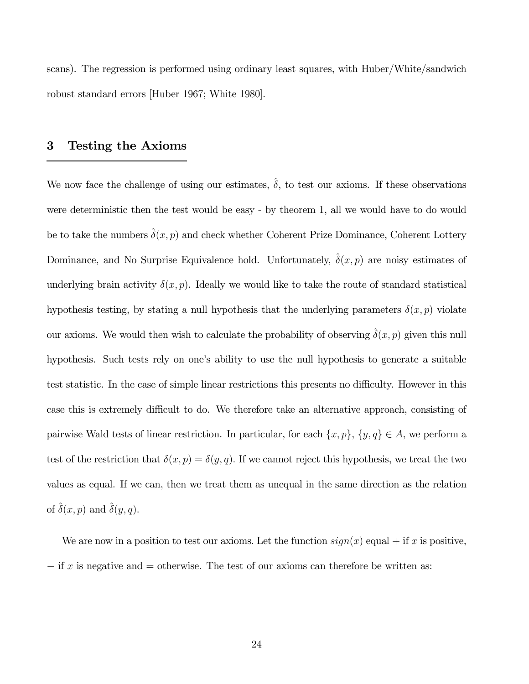scans). The regression is performed using ordinary least squares, with Huber/White/sandwich robust standard errors [Huber 1967; White 1980].

## 3 Testing the Axioms

We now face the challenge of using our estimates,  $\hat{\delta}$ , to test our axioms. If these observations were deterministic then the test would be easy - by theorem 1, all we would have to do would be to take the numbers  $\hat{\delta}(x, p)$  and check whether Coherent Prize Dominance, Coherent Lottery Dominance, and No Surprise Equivalence hold. Unfortunately,  $\hat{\delta}(x, p)$  are noisy estimates of underlying brain activity  $\delta(x, p)$ . Ideally we would like to take the route of standard statistical hypothesis testing, by stating a null hypothesis that the underlying parameters  $\delta(x, p)$  violate our axioms. We would then wish to calculate the probability of observing  $\delta(x, p)$  given this null hypothesis. Such tests rely on one's ability to use the null hypothesis to generate a suitable test statistic. In the case of simple linear restrictions this presents no difficulty. However in this case this is extremely difficult to do. We therefore take an alternative approach, consisting of pairwise Wald tests of linear restriction. In particular, for each  $\{x, p\}$ ,  $\{y, q\} \in A$ , we perform a test of the restriction that  $\delta(x, p) = \delta(y, q)$ . If we cannot reject this hypothesis, we treat the two values as equal. If we can, then we treat them as unequal in the same direction as the relation of  $\hat{\delta}(x, p)$  and  $\hat{\delta}(y, q)$ .

We are now in a position to test our axioms. Let the function  $sign(x)$  equal + if x is positive,  $-$  if x is negative and  $=$  otherwise. The test of our axioms can therefore be written as: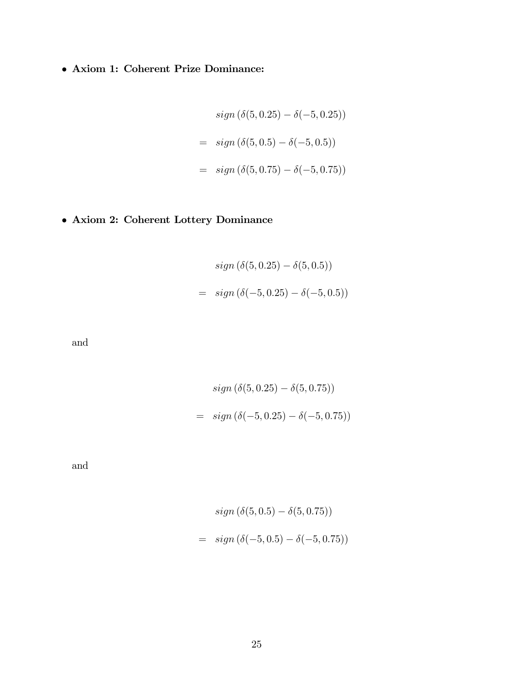• Axiom 1: Coherent Prize Dominance:

$$
sign(\delta(5, 0.25) - \delta(-5, 0.25))
$$
  
= 
$$
sign(\delta(5, 0.5) - \delta(-5, 0.5))
$$
  
= 
$$
sign(\delta(5, 0.75) - \delta(-5, 0.75))
$$

• Axiom 2: Coherent Lottery Dominance

$$
sign(\delta(5, 0.25) - \delta(5, 0.5))
$$
  
= sign( $\delta(-5, 0.25) - \delta(-5, 0.5)$ )

and

$$
sign(\delta(5, 0.25) - \delta(5, 0.75))
$$
  
= sign( $\delta(-5, 0.25) - \delta(-5, 0.75)$ )

and

$$
sign(\delta(5, 0.5) - \delta(5, 0.75))
$$
  
= sign( $\delta(-5, 0.5) - \delta(-5, 0.75)$ )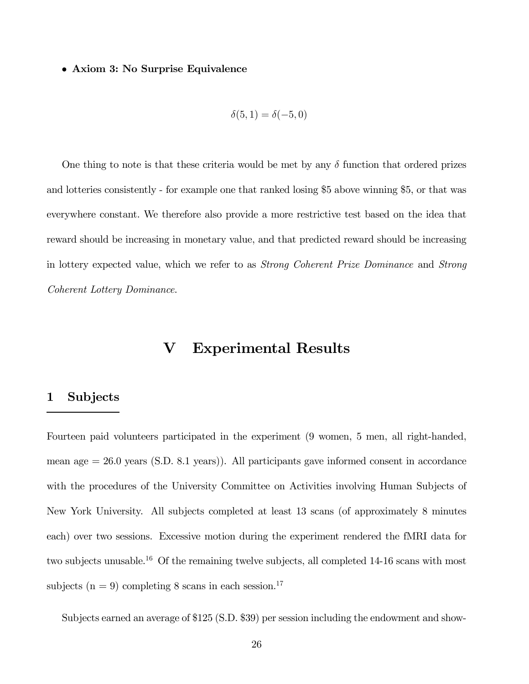• Axiom 3: No Surprise Equivalence

$$
\delta(5,1)=\delta(-5,0)
$$

One thing to note is that these criteria would be met by any  $\delta$  function that ordered prizes and lotteries consistently - for example one that ranked losing \$5 above winning \$5, or that was everywhere constant. We therefore also provide a more restrictive test based on the idea that reward should be increasing in monetary value, and that predicted reward should be increasing in lottery expected value, which we refer to as Strong Coherent Prize Dominance and Strong Coherent Lottery Dominance.

## V Experimental Results

#### 1 Subjects

Fourteen paid volunteers participated in the experiment (9 women, 5 men, all right-handed, mean age = 26.0 years (S.D. 8.1 years)). All participants gave informed consent in accordance with the procedures of the University Committee on Activities involving Human Subjects of New York University. All subjects completed at least 13 scans (of approximately 8 minutes each) over two sessions. Excessive motion during the experiment rendered the fMRI data for two subjects unusable.<sup>16</sup> Of the remaining twelve subjects, all completed 14-16 scans with most subjects ( $n = 9$ ) completing 8 scans in each session.<sup>17</sup>

Subjects earned an average of \$125 (S.D. \$39) per session including the endowment and show-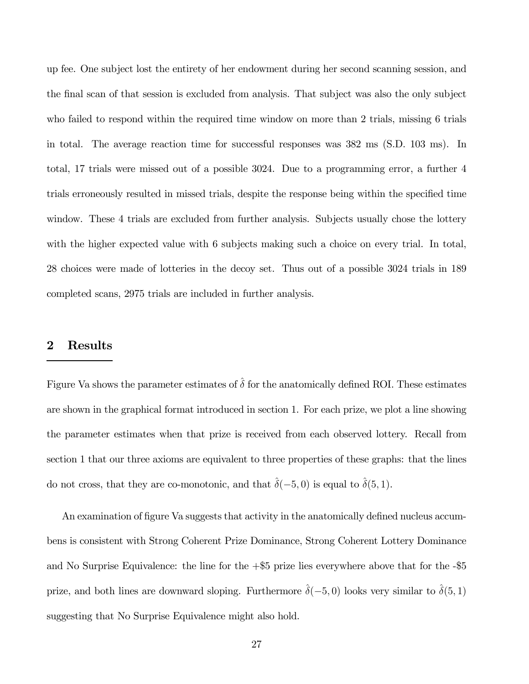up fee. One subject lost the entirety of her endowment during her second scanning session, and the final scan of that session is excluded from analysis. That subject was also the only subject who failed to respond within the required time window on more than 2 trials, missing 6 trials in total. The average reaction time for successful responses was 382 ms (S.D. 103 ms). In total, 17 trials were missed out of a possible 3024. Due to a programming error, a further 4 trials erroneously resulted in missed trials, despite the response being within the specified time window. These 4 trials are excluded from further analysis. Subjects usually chose the lottery with the higher expected value with 6 subjects making such a choice on every trial. In total, 28 choices were made of lotteries in the decoy set. Thus out of a possible 3024 trials in 189 completed scans, 2975 trials are included in further analysis.

## 2 Results

Figure Va shows the parameter estimates of  $\delta$  for the anatomically defined ROI. These estimates are shown in the graphical format introduced in section 1. For each prize, we plot a line showing the parameter estimates when that prize is received from each observed lottery. Recall from section 1 that our three axioms are equivalent to three properties of these graphs: that the lines do not cross, that they are co-monotonic, and that  $\hat{\delta}(-5,0)$  is equal to  $\hat{\delta}(5,1)$ .

An examination of figure Va suggests that activity in the anatomically defined nucleus accumbens is consistent with Strong Coherent Prize Dominance, Strong Coherent Lottery Dominance and No Surprise Equivalence: the line for the  $+\$5$  prize lies everywhere above that for the  $-\$5$ prize, and both lines are downward sloping. Furthermore  $\hat{\delta}(-5,0)$  looks very similar to  $\hat{\delta}(5,1)$ suggesting that No Surprise Equivalence might also hold.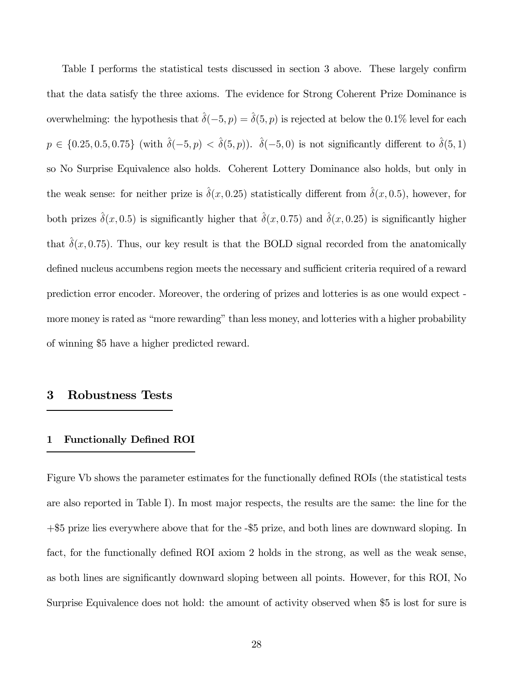Table I performs the statistical tests discussed in section 3 above. These largely confirm that the data satisfy the three axioms. The evidence for Strong Coherent Prize Dominance is overwhelming: the hypothesis that  $\hat{\delta}(-5, p) = \hat{\delta}(5, p)$  is rejected at below the 0.1% level for each  $p \in \{0.25, 0.5, 0.75\}$  (with  $\hat{\delta}(-5, p) < \hat{\delta}(5, p)$ ).  $\hat{\delta}(-5, 0)$  is not significantly different to  $\hat{\delta}(5, 1)$ so No Surprise Equivalence also holds. Coherent Lottery Dominance also holds, but only in the weak sense: for neither prize is  $\hat{\delta}(x, 0.25)$  statistically different from  $\hat{\delta}(x, 0.5)$ , however, for both prizes  $\hat{\delta}(x,0.5)$  is significantly higher that  $\hat{\delta}(x,0.75)$  and  $\hat{\delta}(x,0.25)$  is significantly higher that  $\hat{\delta}(x, 0.75)$ . Thus, our key result is that the BOLD signal recorded from the anatomically defined nucleus accumbens region meets the necessary and sufficient criteria required of a reward prediction error encoder. Moreover, the ordering of prizes and lotteries is as one would expect more money is rated as "more rewarding" than less money, and lotteries with a higher probability of winning \$5 have a higher predicted reward.

### 3 Robustness Tests

#### 1 Functionally Defined ROI

Figure Vb shows the parameter estimates for the functionally defined ROIs (the statistical tests are also reported in Table I). In most major respects, the results are the same: the line for the +\$5 prize lies everywhere above that for the -\$5 prize, and both lines are downward sloping. In fact, for the functionally defined ROI axiom 2 holds in the strong, as well as the weak sense, as both lines are significantly downward sloping between all points. However, for this ROI, No Surprise Equivalence does not hold: the amount of activity observed when \$5 is lost for sure is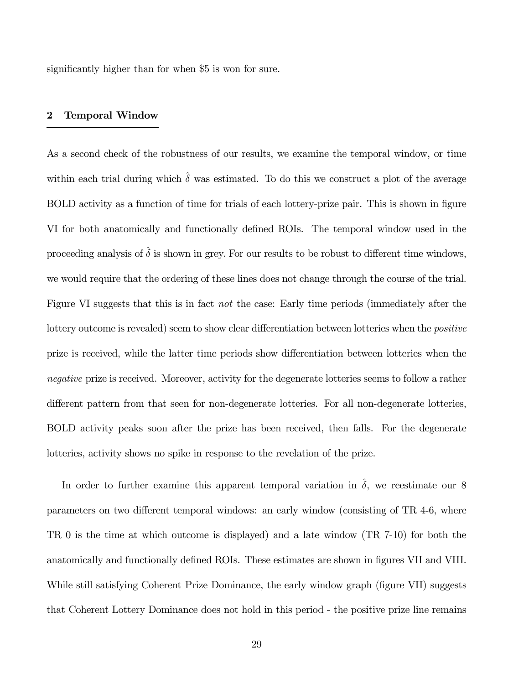significantly higher than for when \$5 is won for sure.

## 2 Temporal Window

As a second check of the robustness of our results, we examine the temporal window, or time within each trial during which  $\hat{\delta}$  was estimated. To do this we construct a plot of the average BOLD activity as a function of time for trials of each lottery-prize pair. This is shown in figure VI for both anatomically and functionally defined ROIs. The temporal window used in the proceeding analysis of  $\delta$  is shown in grey. For our results to be robust to different time windows, we would require that the ordering of these lines does not change through the course of the trial. Figure VI suggests that this is in fact not the case: Early time periods (immediately after the lottery outcome is revealed) seem to show clear differentiation between lotteries when the positive prize is received, while the latter time periods show differentiation between lotteries when the negative prize is received. Moreover, activity for the degenerate lotteries seems to follow a rather different pattern from that seen for non-degenerate lotteries. For all non-degenerate lotteries, BOLD activity peaks soon after the prize has been received, then falls. For the degenerate lotteries, activity shows no spike in response to the revelation of the prize.

In order to further examine this apparent temporal variation in  $\hat{\delta}$ , we reestimate our 8 parameters on two different temporal windows: an early window (consisting of TR 4-6, where TR 0 is the time at which outcome is displayed) and a late window (TR 7-10) for both the anatomically and functionally defined ROIs. These estimates are shown in figures VII and VIII. While still satisfying Coherent Prize Dominance, the early window graph (figure VII) suggests that Coherent Lottery Dominance does not hold in this period - the positive prize line remains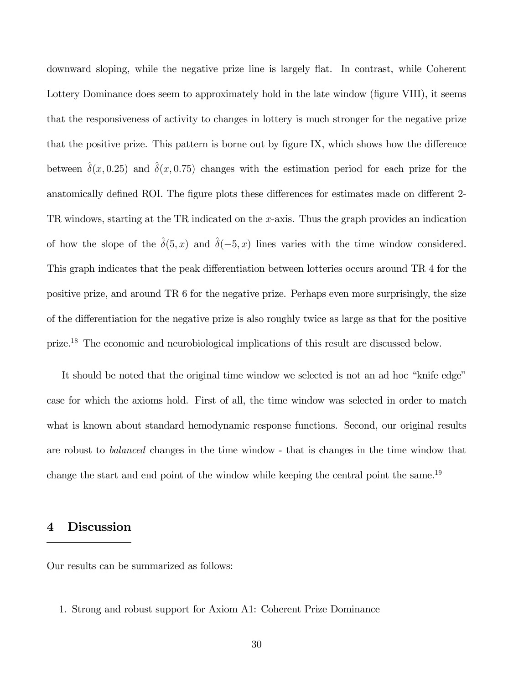downward sloping, while the negative prize line is largely flat. In contrast, while Coherent Lottery Dominance does seem to approximately hold in the late window (figure VIII), it seems that the responsiveness of activity to changes in lottery is much stronger for the negative prize that the positive prize. This pattern is borne out by figure IX, which shows how the difference between  $\delta(x, 0.25)$  and  $\delta(x, 0.75)$  changes with the estimation period for each prize for the anatomically defined ROI. The figure plots these differences for estimates made on different 2- TR windows, starting at the TR indicated on the x-axis. Thus the graph provides an indication of how the slope of the  $\hat{\delta}(5, x)$  and  $\hat{\delta}(-5, x)$  lines varies with the time window considered. This graph indicates that the peak differentiation between lotteries occurs around TR 4 for the positive prize, and around TR 6 for the negative prize. Perhaps even more surprisingly, the size of the differentiation for the negative prize is also roughly twice as large as that for the positive prize.18 The economic and neurobiological implications of this result are discussed below.

It should be noted that the original time window we selected is not an ad hoc "knife edge" case for which the axioms hold. First of all, the time window was selected in order to match what is known about standard hemodynamic response functions. Second, our original results are robust to balanced changes in the time window - that is changes in the time window that change the start and end point of the window while keeping the central point the same.<sup>19</sup>

## 4 Discussion

Our results can be summarized as follows:

1. Strong and robust support for Axiom A1: Coherent Prize Dominance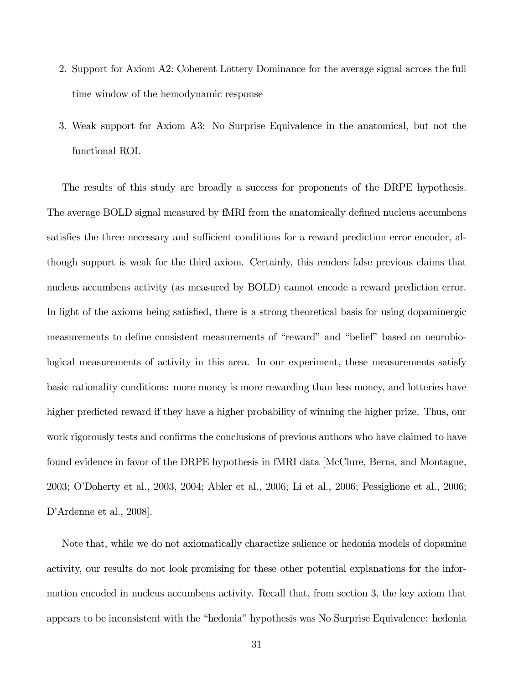- 2. Support for Axiom A2: Coherent Lottery Dominance for the average signal across the full time window of the hemodynamic response
- 3. Weak support for Axiom A3: No Surprise Equivalence in the anatomical, but not the functional ROI.

The results of this study are broadly a success for proponents of the DRPE hypothesis. The average BOLD signal measured by fMRI from the anatomically defined nucleus accumbens satisfies the three necessary and sufficient conditions for a reward prediction error encoder, although support is weak for the third axiom. Certainly, this renders false previous claims that nucleus accumbens activity (as measured by BOLD) cannot encode a reward prediction error. In light of the axioms being satisfied, there is a strong theoretical basis for using dopaminergic measurements to define consistent measurements of "reward" and "belief" based on neurobiological measurements of activity in this area. In our experiment, these measurements satisfy basic rationality conditions: more money is more rewarding than less money, and lotteries have higher predicted reward if they have a higher probability of winning the higher prize. Thus, our work rigorously tests and confirms the conclusions of previous authors who have claimed to have found evidence in favor of the DRPE hypothesis in fMRI data [McClure, Berns, and Montague, 2003; O'Doherty et al., 2003, 2004; Abler et al., 2006; Li et al., 2006; Pessiglione et al., 2006; D'Ardenne et al., 2008].

Note that, while we do not axiomatically charactize salience or hedonia models of dopamine activity, our results do not look promising for these other potential explanations for the information encoded in nucleus accumbens activity. Recall that, from section 3, the key axiom that appears to be inconsistent with the "hedonia" hypothesis was No Surprise Equivalence: hedonia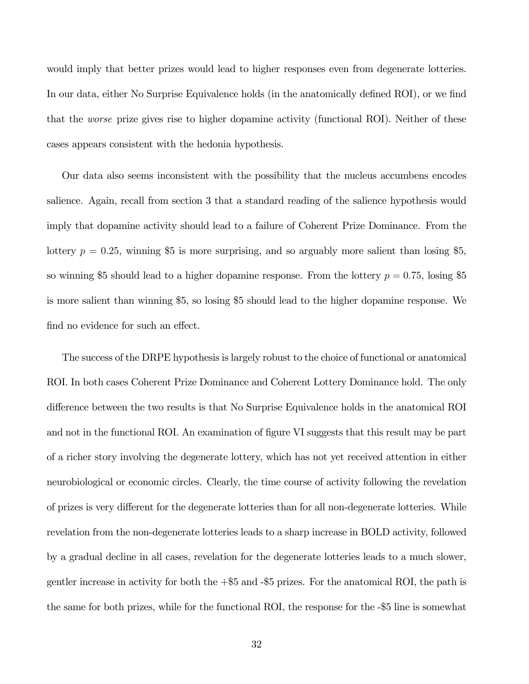would imply that better prizes would lead to higher responses even from degenerate lotteries. In our data, either No Surprise Equivalence holds (in the anatomically defined ROI), or we find that the worse prize gives rise to higher dopamine activity (functional ROI). Neither of these cases appears consistent with the hedonia hypothesis.

Our data also seems inconsistent with the possibility that the nucleus accumbens encodes salience. Again, recall from section 3 that a standard reading of the salience hypothesis would imply that dopamine activity should lead to a failure of Coherent Prize Dominance. From the lottery  $p = 0.25$ , winning \$5 is more surprising, and so arguably more salient than losing \$5, so winning \$5 should lead to a higher dopamine response. From the lottery  $p = 0.75$ , losing \$5 is more salient than winning \$5, so losing \$5 should lead to the higher dopamine response. We find no evidence for such an effect.

The success of the DRPE hypothesis is largely robust to the choice of functional or anatomical ROI. In both cases Coherent Prize Dominance and Coherent Lottery Dominance hold. The only difference between the two results is that No Surprise Equivalence holds in the anatomical ROI and not in the functional ROI. An examination of figure VI suggests that this result may be part of a richer story involving the degenerate lottery, which has not yet received attention in either neurobiological or economic circles. Clearly, the time course of activity following the revelation of prizes is very different for the degenerate lotteries than for all non-degenerate lotteries. While revelation from the non-degenerate lotteries leads to a sharp increase in BOLD activity, followed by a gradual decline in all cases, revelation for the degenerate lotteries leads to a much slower, gentler increase in activity for both the +\$5 and -\$5 prizes. For the anatomical ROI, the path is the same for both prizes, while for the functional ROI, the response for the -\$5 line is somewhat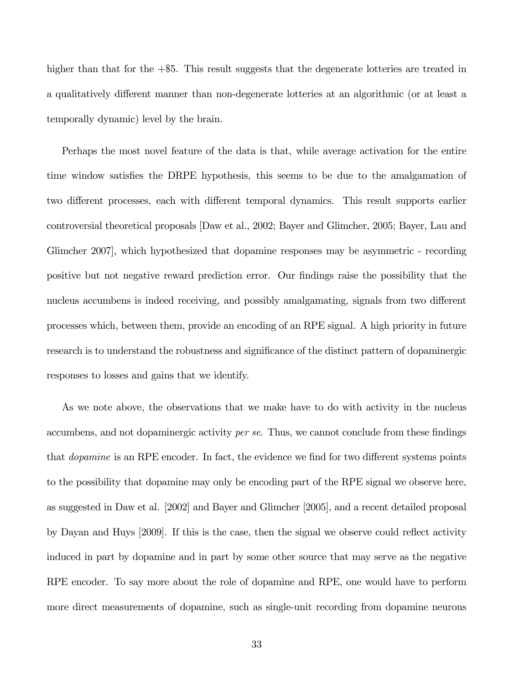higher than that for the  $+$ \$5. This result suggests that the degenerate lotteries are treated in a qualitatively different manner than non-degenerate lotteries at an algorithmic (or at least a temporally dynamic) level by the brain.

Perhaps the most novel feature of the data is that, while average activation for the entire time window satisfies the DRPE hypothesis, this seems to be due to the amalgamation of two different processes, each with different temporal dynamics. This result supports earlier controversial theoretical proposals [Daw et al., 2002; Bayer and Glimcher, 2005; Bayer, Lau and Glimcher 2007], which hypothesized that dopamine responses may be asymmetric - recording positive but not negative reward prediction error. Our findings raise the possibility that the nucleus accumbens is indeed receiving, and possibly amalgamating, signals from two different processes which, between them, provide an encoding of an RPE signal. A high priority in future research is to understand the robustness and significance of the distinct pattern of dopaminergic responses to losses and gains that we identify.

As we note above, the observations that we make have to do with activity in the nucleus accumbens, and not dopaminergic activity per se. Thus, we cannot conclude from these findings that dopamine is an RPE encoder. In fact, the evidence we find for two different systems points to the possibility that dopamine may only be encoding part of the RPE signal we observe here, as suggested in Daw et al. [2002] and Bayer and Glimcher [2005], and a recent detailed proposal by Dayan and Huys [2009]. If this is the case, then the signal we observe could reflect activity induced in part by dopamine and in part by some other source that may serve as the negative RPE encoder. To say more about the role of dopamine and RPE, one would have to perform more direct measurements of dopamine, such as single-unit recording from dopamine neurons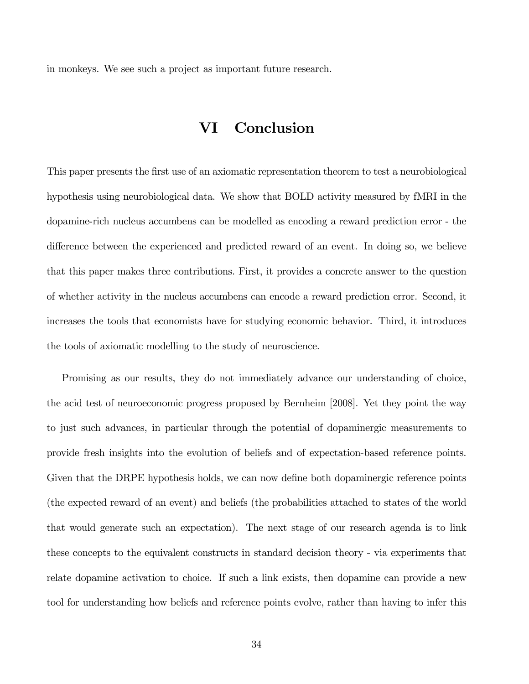in monkeys. We see such a project as important future research.

## VI Conclusion

This paper presents the first use of an axiomatic representation theorem to test a neurobiological hypothesis using neurobiological data. We show that BOLD activity measured by fMRI in the dopamine-rich nucleus accumbens can be modelled as encoding a reward prediction error - the difference between the experienced and predicted reward of an event. In doing so, we believe that this paper makes three contributions. First, it provides a concrete answer to the question of whether activity in the nucleus accumbens can encode a reward prediction error. Second, it increases the tools that economists have for studying economic behavior. Third, it introduces the tools of axiomatic modelling to the study of neuroscience.

Promising as our results, they do not immediately advance our understanding of choice, the acid test of neuroeconomic progress proposed by Bernheim [2008]. Yet they point the way to just such advances, in particular through the potential of dopaminergic measurements to provide fresh insights into the evolution of beliefs and of expectation-based reference points. Given that the DRPE hypothesis holds, we can now define both dopaminergic reference points (the expected reward of an event) and beliefs (the probabilities attached to states of the world that would generate such an expectation). The next stage of our research agenda is to link these concepts to the equivalent constructs in standard decision theory - via experiments that relate dopamine activation to choice. If such a link exists, then dopamine can provide a new tool for understanding how beliefs and reference points evolve, rather than having to infer this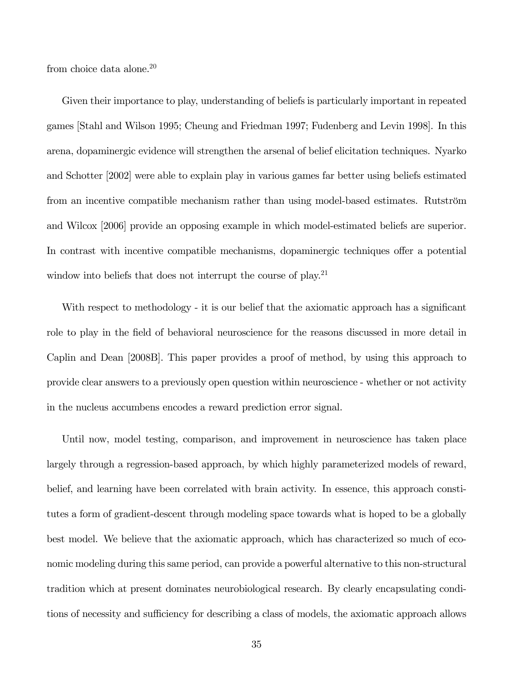from choice data alone.<sup>20</sup>

Given their importance to play, understanding of beliefs is particularly important in repeated games [Stahl and Wilson 1995; Cheung and Friedman 1997; Fudenberg and Levin 1998]. In this arena, dopaminergic evidence will strengthen the arsenal of belief elicitation techniques. Nyarko and Schotter [2002] were able to explain play in various games far better using beliefs estimated from an incentive compatible mechanism rather than using model-based estimates. Rutström and Wilcox [2006] provide an opposing example in which model-estimated beliefs are superior. In contrast with incentive compatible mechanisms, dopaminergic techniques offer a potential window into beliefs that does not interrupt the course of play.<sup>21</sup>

With respect to methodology - it is our belief that the axiomatic approach has a significant role to play in the field of behavioral neuroscience for the reasons discussed in more detail in Caplin and Dean [2008B]. This paper provides a proof of method, by using this approach to provide clear answers to a previously open question within neuroscience - whether or not activity in the nucleus accumbens encodes a reward prediction error signal.

Until now, model testing, comparison, and improvement in neuroscience has taken place largely through a regression-based approach, by which highly parameterized models of reward, belief, and learning have been correlated with brain activity. In essence, this approach constitutes a form of gradient-descent through modeling space towards what is hoped to be a globally best model. We believe that the axiomatic approach, which has characterized so much of economic modeling during this same period, can provide a powerful alternative to this non-structural tradition which at present dominates neurobiological research. By clearly encapsulating conditions of necessity and sufficiency for describing a class of models, the axiomatic approach allows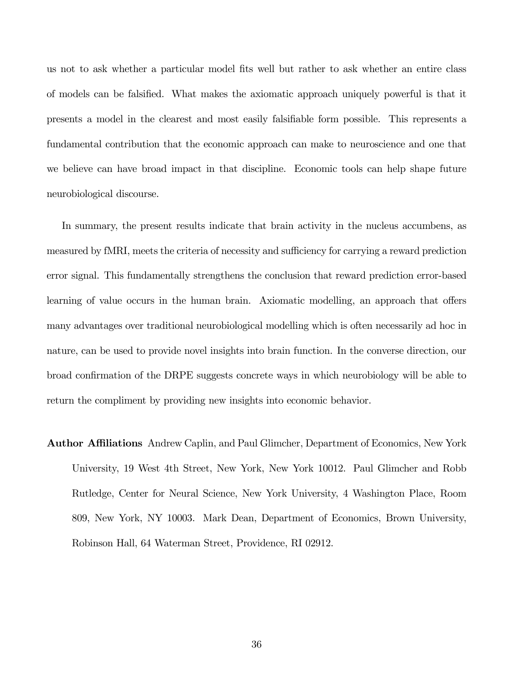us not to ask whether a particular model fits well but rather to ask whether an entire class of models can be falsified. What makes the axiomatic approach uniquely powerful is that it presents a model in the clearest and most easily falsifiable form possible. This represents a fundamental contribution that the economic approach can make to neuroscience and one that we believe can have broad impact in that discipline. Economic tools can help shape future neurobiological discourse.

In summary, the present results indicate that brain activity in the nucleus accumbens, as measured by fMRI, meets the criteria of necessity and sufficiency for carrying a reward prediction error signal. This fundamentally strengthens the conclusion that reward prediction error-based learning of value occurs in the human brain. Axiomatic modelling, an approach that offers many advantages over traditional neurobiological modelling which is often necessarily ad hoc in nature, can be used to provide novel insights into brain function. In the converse direction, our broad confirmation of the DRPE suggests concrete ways in which neurobiology will be able to return the compliment by providing new insights into economic behavior.

Author Affiliations Andrew Caplin, and Paul Glimcher, Department of Economics, New York University, 19 West 4th Street, New York, New York 10012. Paul Glimcher and Robb Rutledge, Center for Neural Science, New York University, 4 Washington Place, Room 809, New York, NY 10003. Mark Dean, Department of Economics, Brown University, Robinson Hall, 64 Waterman Street, Providence, RI 02912.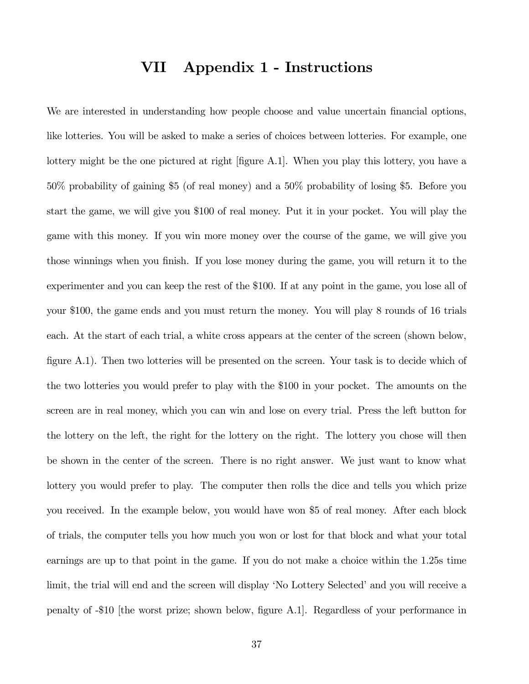## VII Appendix 1 - Instructions

We are interested in understanding how people choose and value uncertain financial options, like lotteries. You will be asked to make a series of choices between lotteries. For example, one lottery might be the one pictured at right [figure A.1]. When you play this lottery, you have a 50% probability of gaining \$5 (of real money) and a 50% probability of losing \$5. Before you start the game, we will give you \$100 of real money. Put it in your pocket. You will play the game with this money. If you win more money over the course of the game, we will give you those winnings when you finish. If you lose money during the game, you will return it to the experimenter and you can keep the rest of the \$100. If at any point in the game, you lose all of your \$100, the game ends and you must return the money. You will play 8 rounds of 16 trials each. At the start of each trial, a white cross appears at the center of the screen (shown below, figure A.1). Then two lotteries will be presented on the screen. Your task is to decide which of the two lotteries you would prefer to play with the \$100 in your pocket. The amounts on the screen are in real money, which you can win and lose on every trial. Press the left button for the lottery on the left, the right for the lottery on the right. The lottery you chose will then be shown in the center of the screen. There is no right answer. We just want to know what lottery you would prefer to play. The computer then rolls the dice and tells you which prize you received. In the example below, you would have won \$5 of real money. After each block of trials, the computer tells you how much you won or lost for that block and what your total earnings are up to that point in the game. If you do not make a choice within the 1.25s time limit, the trial will end and the screen will display 'No Lottery Selected' and you will receive a penalty of -\$10 [the worst prize; shown below, figure A.1]. Regardless of your performance in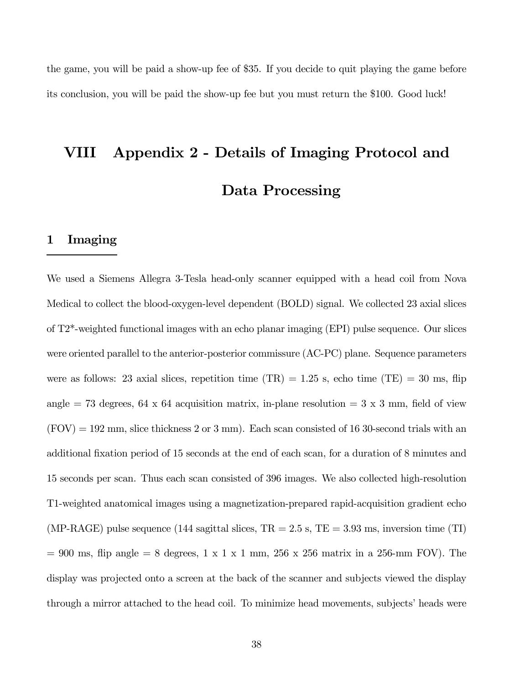the game, you will be paid a show-up fee of \$35. If you decide to quit playing the game before its conclusion, you will be paid the show-up fee but you must return the \$100. Good luck!

## VIII Appendix 2 - Details of Imaging Protocol and Data Processing

#### 1 Imaging

We used a Siemens Allegra 3-Tesla head-only scanner equipped with a head coil from Nova Medical to collect the blood-oxygen-level dependent (BOLD) signal. We collected 23 axial slices of T2\*-weighted functional images with an echo planar imaging (EPI) pulse sequence. Our slices were oriented parallel to the anterior-posterior commissure (AC-PC) plane. Sequence parameters were as follows: 23 axial slices, repetition time  $(TR) = 1.25$  s, echo time  $(TE) = 30$  ms, flip angle = 73 degrees, 64 x 64 acquisition matrix, in-plane resolution =  $3 \times 3$  mm, field of view  $(FOV) = 192$  mm, slice thickness 2 or 3 mm). Each scan consisted of 16 30-second trials with an additional fixation period of 15 seconds at the end of each scan, for a duration of 8 minutes and 15 seconds per scan. Thus each scan consisted of 396 images. We also collected high-resolution T1-weighted anatomical images using a magnetization-prepared rapid-acquisition gradient echo (MP-RAGE) pulse sequence (144 sagittal slices,  $TR = 2.5$  s,  $TE = 3.93$  ms, inversion time (TI)  $= 900$  ms, flip angle  $= 8$  degrees,  $1 \times 1 \times 1$  mm,  $256 \times 256$  matrix in a 256-mm FOV). The display was projected onto a screen at the back of the scanner and subjects viewed the display through a mirror attached to the head coil. To minimize head movements, subjects' heads were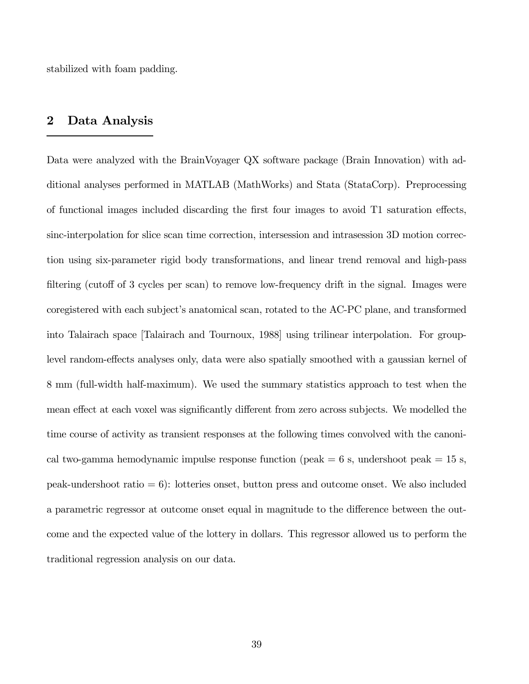stabilized with foam padding.

## 2 Data Analysis

Data were analyzed with the BrainVoyager QX software package (Brain Innovation) with additional analyses performed in MATLAB (MathWorks) and Stata (StataCorp). Preprocessing of functional images included discarding the first four images to avoid T1 saturation effects, sinc-interpolation for slice scan time correction, intersession and intrasession 3D motion correction using six-parameter rigid body transformations, and linear trend removal and high-pass filtering (cutoff of 3 cycles per scan) to remove low-frequency drift in the signal. Images were coregistered with each subject's anatomical scan, rotated to the AC-PC plane, and transformed into Talairach space [Talairach and Tournoux, 1988] using trilinear interpolation. For grouplevel random-effects analyses only, data were also spatially smoothed with a gaussian kernel of 8 mm (full-width half-maximum). We used the summary statistics approach to test when the mean effect at each voxel was significantly different from zero across subjects. We modelled the time course of activity as transient responses at the following times convolved with the canonical two-gamma hemodynamic impulse response function (peak  $= 6$  s, undershoot peak  $= 15$  s, peak-undershoot ratio  $= 6$ : lotteries onset, button press and outcome onset. We also included a parametric regressor at outcome onset equal in magnitude to the difference between the outcome and the expected value of the lottery in dollars. This regressor allowed us to perform the traditional regression analysis on our data.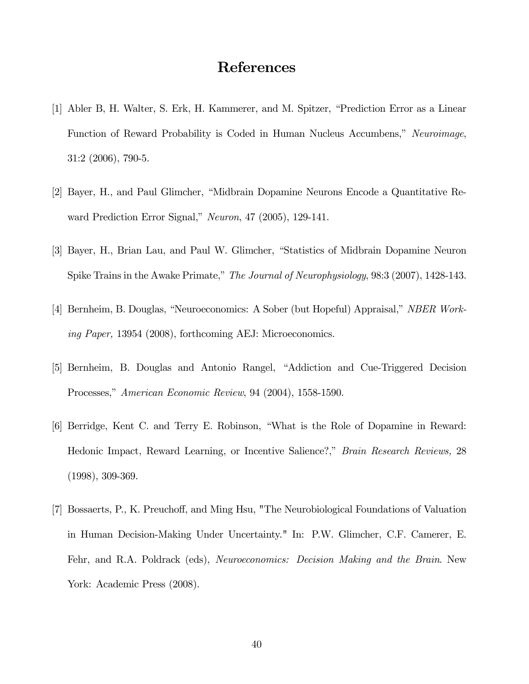## References

- [1] Abler B, H. Walter, S. Erk, H. Kammerer, and M. Spitzer, "Prediction Error as a Linear Function of Reward Probability is Coded in Human Nucleus Accumbens," Neuroimage, 31:2 (2006), 790-5.
- [2] Bayer, H., and Paul Glimcher, "Midbrain Dopamine Neurons Encode a Quantitative Reward Prediction Error Signal," Neuron, 47 (2005), 129-141.
- [3] Bayer, H., Brian Lau, and Paul W. Glimcher, "Statistics of Midbrain Dopamine Neuron Spike Trains in the Awake Primate," The Journal of Neurophysiology, 98:3 (2007), 1428-143.
- [4] Bernheim, B. Douglas, "Neuroeconomics: A Sober (but Hopeful) Appraisal," NBER Working Paper, 13954 (2008), forthcoming AEJ: Microeconomics.
- [5] Bernheim, B. Douglas and Antonio Rangel, "Addiction and Cue-Triggered Decision Processes," American Economic Review, 94 (2004), 1558-1590.
- [6] Berridge, Kent C. and Terry E. Robinson, "What is the Role of Dopamine in Reward: Hedonic Impact, Reward Learning, or Incentive Salience?," Brain Research Reviews, 28 (1998), 309-369.
- [7] Bossaerts, P., K. Preuchoff, and Ming Hsu, "The Neurobiological Foundations of Valuation in Human Decision-Making Under Uncertainty." In: P.W. Glimcher, C.F. Camerer, E. Fehr, and R.A. Poldrack (eds), Neuroeconomics: Decision Making and the Brain. New York: Academic Press (2008).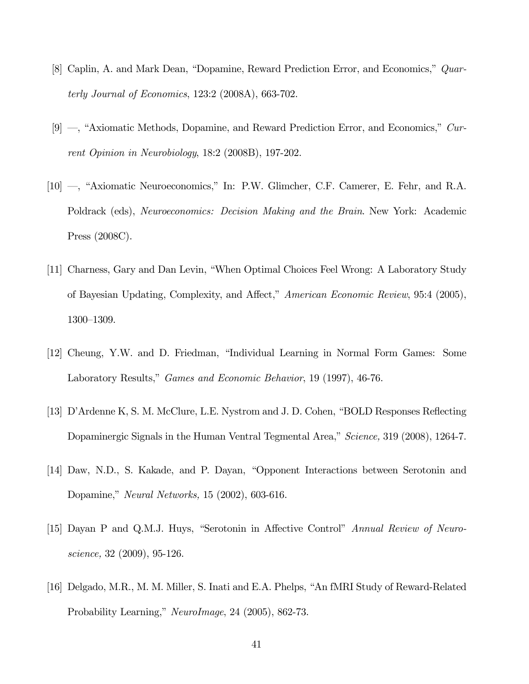- [8] Caplin, A. and Mark Dean, "Dopamine, Reward Prediction Error, and Economics," Quarterly Journal of Economics, 123:2 (2008A), 663-702.
- [9] —, "Axiomatic Methods, Dopamine, and Reward Prediction Error, and Economics," Current Opinion in Neurobiology, 18:2 (2008B), 197-202.
- [10] –, "Axiomatic Neuroeconomics," In: P.W. Glimcher, C.F. Camerer, E. Fehr, and R.A. Poldrack (eds), Neuroeconomics: Decision Making and the Brain. New York: Academic Press (2008C).
- [11] Charness, Gary and Dan Levin, "When Optimal Choices Feel Wrong: A Laboratory Study of Bayesian Updating, Complexity, and Affect," American Economic Review, 95:4 (2005), 1300—1309.
- [12] Cheung, Y.W. and D. Friedman, "Individual Learning in Normal Form Games: Some Laboratory Results," Games and Economic Behavior, 19 (1997), 46-76.
- [13] D'Ardenne K, S. M. McClure, L.E. Nystrom and J. D. Cohen, "BOLD Responses Reflecting Dopaminergic Signals in the Human Ventral Tegmental Area," Science, 319 (2008), 1264-7.
- [14] Daw, N.D., S. Kakade, and P. Dayan, "Opponent Interactions between Serotonin and Dopamine," Neural Networks, 15 (2002), 603-616.
- [15] Dayan P and Q.M.J. Huys, "Serotonin in Affective Control" Annual Review of Neuroscience, 32 (2009), 95-126.
- [16] Delgado, M.R., M. M. Miller, S. Inati and E.A. Phelps, "An fMRI Study of Reward-Related Probability Learning," NeuroImage, 24 (2005), 862-73.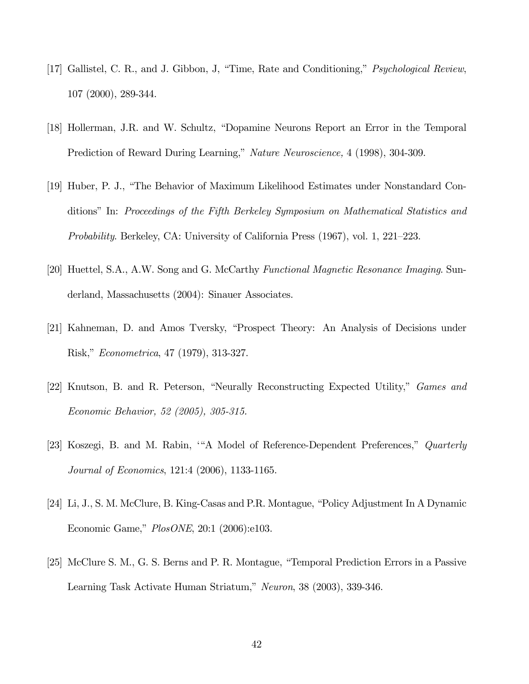- [17] Gallistel, C. R., and J. Gibbon, J, "Time, Rate and Conditioning," Psychological Review, 107 (2000), 289-344.
- [18] Hollerman, J.R. and W. Schultz, "Dopamine Neurons Report an Error in the Temporal Prediction of Reward During Learning," Nature Neuroscience, 4 (1998), 304-309.
- [19] Huber, P. J., "The Behavior of Maximum Likelihood Estimates under Nonstandard Conditions" In: Proceedings of the Fifth Berkeley Symposium on Mathematical Statistics and Probability. Berkeley, CA: University of California Press (1967), vol. 1, 221—223.
- [20] Huettel, S.A., A.W. Song and G. McCarthy Functional Magnetic Resonance Imaging. Sunderland, Massachusetts (2004): Sinauer Associates.
- [21] Kahneman, D. and Amos Tversky, "Prospect Theory: An Analysis of Decisions under Risk," Econometrica, 47 (1979), 313-327.
- [22] Knutson, B. and R. Peterson, "Neurally Reconstructing Expected Utility," Games and Economic Behavior, 52 (2005), 305-315.
- [23] Koszegi, B. and M. Rabin, '"A Model of Reference-Dependent Preferences," Quarterly Journal of Economics, 121:4 (2006), 1133-1165.
- [24] Li, J., S. M. McClure, B. King-Casas and P.R. Montague, "Policy Adjustment In A Dynamic Economic Game," PlosONE, 20:1 (2006):e103.
- [25] McClure S. M., G. S. Berns and P. R. Montague, "Temporal Prediction Errors in a Passive Learning Task Activate Human Striatum," Neuron, 38 (2003), 339-346.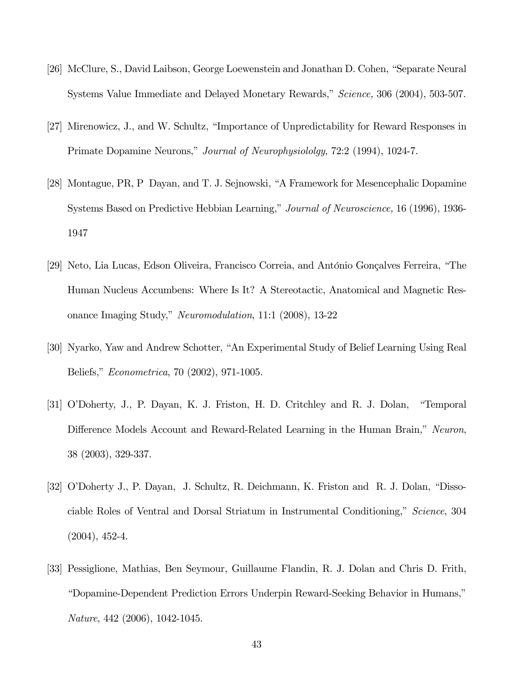- [26] McClure, S., David Laibson, George Loewenstein and Jonathan D. Cohen, "Separate Neural Systems Value Immediate and Delayed Monetary Rewards," Science, 306 (2004), 503-507.
- [27] Mirenowicz, J., and W. Schultz, "Importance of Unpredictability for Reward Responses in Primate Dopamine Neurons," Journal of Neurophysiololgy, 72:2 (1994), 1024-7.
- [28] Montague, PR, P Dayan, and T. J. Sejnowski, "A Framework for Mesencephalic Dopamine Systems Based on Predictive Hebbian Learning," Journal of Neuroscience, 16 (1996), 1936- 1947
- [29] Neto, Lia Lucas, Edson Oliveira, Francisco Correia, and António Gonçalves Ferreira, "The Human Nucleus Accumbens: Where Is It? A Stereotactic, Anatomical and Magnetic Resonance Imaging Study," Neuromodulation, 11:1 (2008), 13-22
- [30] Nyarko, Yaw and Andrew Schotter, "An Experimental Study of Belief Learning Using Real Beliefs," Econometrica, 70 (2002), 971-1005.
- [31] O'Doherty, J., P. Dayan, K. J. Friston, H. D. Critchley and R. J. Dolan, "Temporal Difference Models Account and Reward-Related Learning in the Human Brain," Neuron, 38 (2003), 329-337.
- [32] O'Doherty J., P. Dayan, J. Schultz, R. Deichmann, K. Friston and R. J. Dolan, "Dissociable Roles of Ventral and Dorsal Striatum in Instrumental Conditioning," Science, 304 (2004), 452-4.
- [33] Pessiglione, Mathias, Ben Seymour, Guillaume Flandin, R. J. Dolan and Chris D. Frith, "Dopamine-Dependent Prediction Errors Underpin Reward-Seeking Behavior in Humans," Nature, 442 (2006), 1042-1045.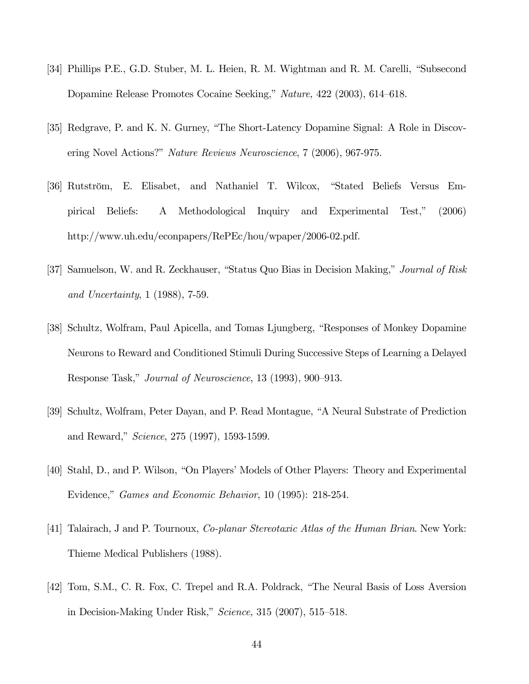- [34] Phillips P.E., G.D. Stuber, M. L. Heien, R. M. Wightman and R. M. Carelli, "Subsecond Dopamine Release Promotes Cocaine Seeking," Nature, 422 (2003), 614—618.
- [35] Redgrave, P. and K. N. Gurney, "The Short-Latency Dopamine Signal: A Role in Discovering Novel Actions?" Nature Reviews Neuroscience, 7 (2006), 967-975.
- [36] Rutström, E. Elisabet, and Nathaniel T. Wilcox, "Stated Beliefs Versus Empirical Beliefs: A Methodological Inquiry and Experimental Test," (2006) http://www.uh.edu/econpapers/RePEc/hou/wpaper/2006-02.pdf.
- [37] Samuelson, W. and R. Zeckhauser, "Status Quo Bias in Decision Making," Journal of Risk and Uncertainty, 1 (1988), 7-59.
- [38] Schultz, Wolfram, Paul Apicella, and Tomas Ljungberg, "Responses of Monkey Dopamine Neurons to Reward and Conditioned Stimuli During Successive Steps of Learning a Delayed Response Task," Journal of Neuroscience, 13 (1993), 900—913.
- [39] Schultz, Wolfram, Peter Dayan, and P. Read Montague, "A Neural Substrate of Prediction and Reward," Science, 275 (1997), 1593-1599.
- [40] Stahl, D., and P. Wilson, "On Players' Models of Other Players: Theory and Experimental Evidence," Games and Economic Behavior, 10 (1995): 218-254.
- [41] Talairach, J and P. Tournoux, *Co-planar Stereotaxic Atlas of the Human Brian*. New York: Thieme Medical Publishers (1988).
- [42] Tom, S.M., C. R. Fox, C. Trepel and R.A. Poldrack, "The Neural Basis of Loss Aversion in Decision-Making Under Risk," Science, 315 (2007), 515—518.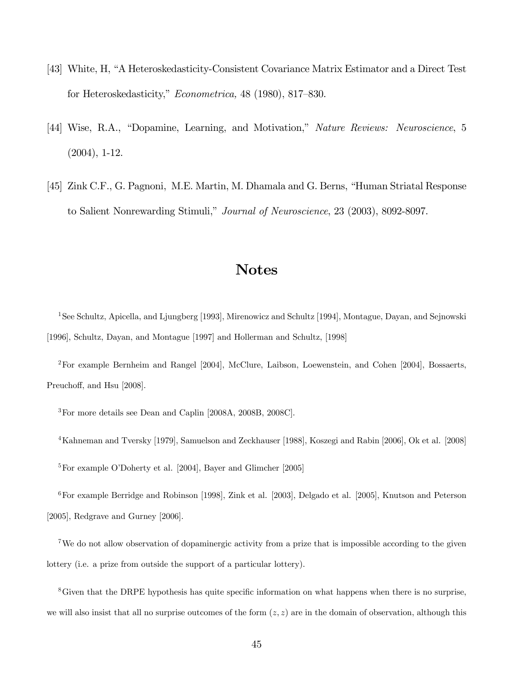- [43] White, H, "A Heteroskedasticity-Consistent Covariance Matrix Estimator and a Direct Test for Heteroskedasticity," Econometrica, 48 (1980), 817—830.
- [44] Wise, R.A., "Dopamine, Learning, and Motivation," Nature Reviews: Neuroscience, 5 (2004), 1-12.
- [45] Zink C.F., G. Pagnoni, M.E. Martin, M. Dhamala and G. Berns, "Human Striatal Response to Salient Nonrewarding Stimuli," Journal of Neuroscience, 23 (2003), 8092-8097.

## Notes

1See Schultz, Apicella, and Ljungberg [1993], Mirenowicz and Schultz [1994], Montague, Dayan, and Sejnowski [1996], Schultz, Dayan, and Montague [1997] and Hollerman and Schultz, [1998]

2For example Bernheim and Rangel [2004], McClure, Laibson, Loewenstein, and Cohen [2004], Bossaerts, Preuchoff, and Hsu [2008].

3For more details see Dean and Caplin [2008A, 2008B, 2008C].

4Kahneman and Tversky [1979], Samuelson and Zeckhauser [1988], Koszegi and Rabin [2006], Ok et al. [2008]

5For example O'Doherty et al. [2004], Bayer and Glimcher [2005]

6For example Berridge and Robinson [1998], Zink et al. [2003], Delgado et al. [2005], Knutson and Peterson [2005], Redgrave and Gurney [2006].

7We do not allow observation of dopaminergic activity from a prize that is impossible according to the given lottery (i.e. a prize from outside the support of a particular lottery).

8Given that the DRPE hypothesis has quite specific information on what happens when there is no surprise, we will also insist that all no surprise outcomes of the form  $(z, z)$  are in the domain of observation, although this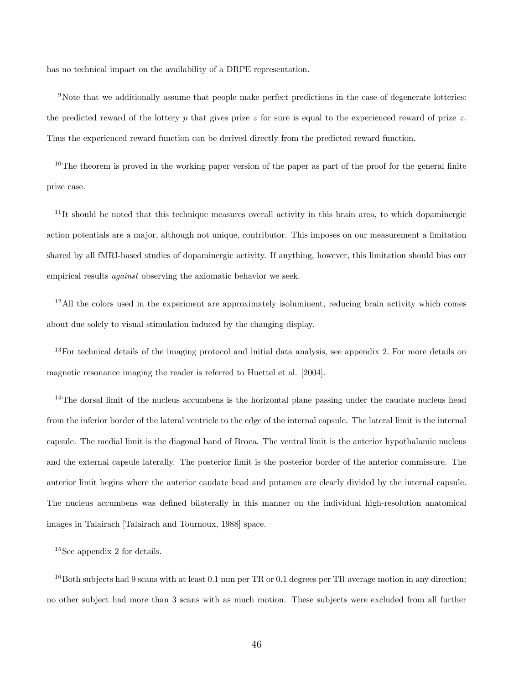has no technical impact on the availability of a DRPE representation.

<sup>9</sup>Note that we additionally assume that people make perfect predictions in the case of degenerate lotteries: the predicted reward of the lottery  $p$  that gives prize  $z$  for sure is equal to the experienced reward of prize  $z$ . Thus the experienced reward function can be derived directly from the predicted reward function.

 $10$ The theorem is proved in the working paper version of the paper as part of the proof for the general finite prize case.

 $11$ It should be noted that this technique measures overall activity in this brain area, to which dopaminergic action potentials are a major, although not unique, contributor. This imposes on our measurement a limitation shared by all fMRI-based studies of dopaminergic activity. If anything, however, this limitation should bias our empirical results against observing the axiomatic behavior we seek.

 $12$ All the colors used in the experiment are approximately isoluminent, reducing brain activity which comes about due solely to visual stimulation induced by the changing display.

<sup>13</sup>For technical details of the imaging protocol and initial data analysis, see appendix 2. For more details on magnetic resonance imaging the reader is referred to Huettel et al. [2004].

 $14$ The dorsal limit of the nucleus accumbens is the horizontal plane passing under the caudate nucleus head from the inferior border of the lateral ventricle to the edge of the internal capsule. The lateral limit is the internal capsule. The medial limit is the diagonal band of Broca. The ventral limit is the anterior hypothalamic nucleus and the external capsule laterally. The posterior limit is the posterior border of the anterior commissure. The anterior limit begins where the anterior caudate head and putamen are clearly divided by the internal capsule. The nucleus accumbens was defined bilaterally in this manner on the individual high-resolution anatomical images in Talairach [Talairach and Tournoux, 1988] space.

15See appendix 2 for details.

<sup>16</sup>Both subjects had 9 scans with at least 0.1 mm per TR or 0.1 degrees per TR average motion in any direction; no other subject had more than 3 scans with as much motion. These subjects were excluded from all further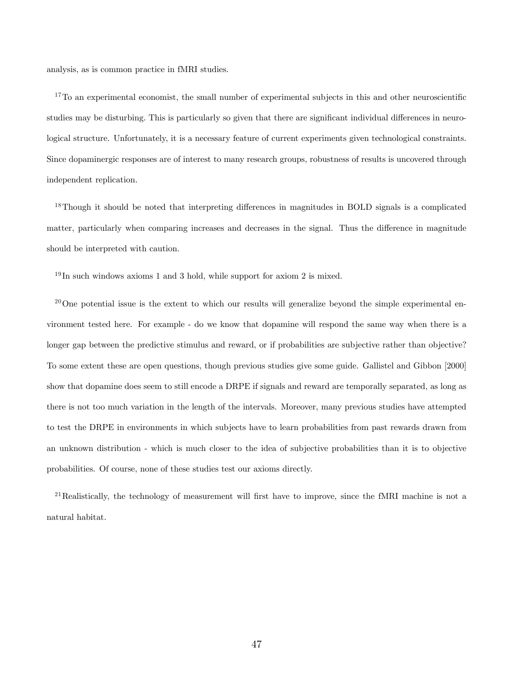analysis, as is common practice in fMRI studies.

 $17$ To an experimental economist, the small number of experimental subjects in this and other neuroscientific studies may be disturbing. This is particularly so given that there are significant individual differences in neurological structure. Unfortunately, it is a necessary feature of current experiments given technological constraints. Since dopaminergic responses are of interest to many research groups, robustness of results is uncovered through independent replication.

<sup>18</sup>Though it should be noted that interpreting differences in magnitudes in BOLD signals is a complicated matter, particularly when comparing increases and decreases in the signal. Thus the difference in magnitude should be interpreted with caution.

 $19$  In such windows axioms 1 and 3 hold, while support for axiom 2 is mixed.

<sup>20</sup>One potential issue is the extent to which our results will generalize beyond the simple experimental environment tested here. For example - do we know that dopamine will respond the same way when there is a longer gap between the predictive stimulus and reward, or if probabilities are subjective rather than objective? To some extent these are open questions, though previous studies give some guide. Gallistel and Gibbon [2000] show that dopamine does seem to still encode a DRPE if signals and reward are temporally separated, as long as there is not too much variation in the length of the intervals. Moreover, many previous studies have attempted to test the DRPE in environments in which subjects have to learn probabilities from past rewards drawn from an unknown distribution - which is much closer to the idea of subjective probabilities than it is to objective probabilities. Of course, none of these studies test our axioms directly.

<sup>21</sup>Realistically, the technology of measurement will first have to improve, since the fMRI machine is not a natural habitat.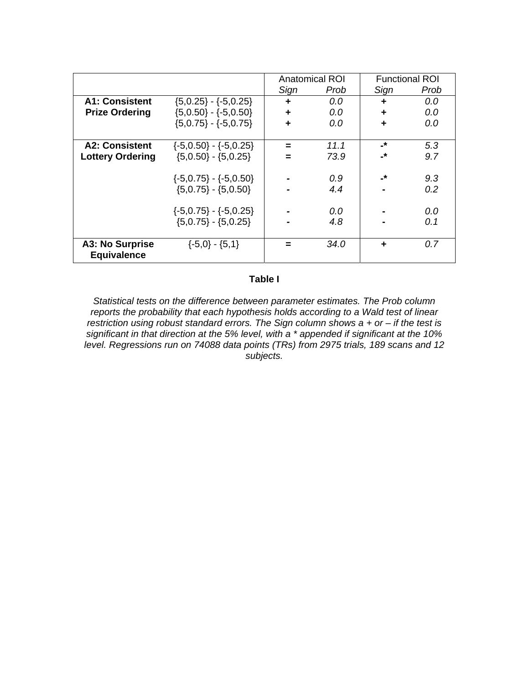|                         |                               | <b>Anatomical ROI</b> |      | <b>Functional ROI</b>    |      |
|-------------------------|-------------------------------|-----------------------|------|--------------------------|------|
|                         |                               | Sign                  | Prob | Sign                     | Prob |
| <b>A1: Consistent</b>   | $\{5,0.25\} - \{-5,0.25\}$    | ÷                     | 0.0  | ÷                        | 0.0  |
| <b>Prize Ordering</b>   | ${5,0.50} - {-5,0.50}$        | ÷                     | 0.0  | ÷                        | 0.0  |
|                         | $(5,0.75) - (-5,0.75)$        | ÷                     | 0.0  | ÷                        | 0.0  |
|                         |                               |                       |      |                          |      |
| <b>A2: Consistent</b>   | $\{-5,0.50\} - \{-5,0.25\}$   | $=$                   | 11.1 | -*                       | 5.3  |
| <b>Lottery Ordering</b> | $(5,0.50) - (5,0.25)$         | =                     | 73.9 | $\overline{\phantom{a}}$ | 9.7  |
|                         |                               |                       |      |                          |      |
|                         | $\{-5,0.75\} - \{-5,0.50\}$   |                       | 0.9  | -*                       | 9.3  |
|                         | $(5,0.75) - (5,0.50)$         |                       | 4.4  |                          | 0.2  |
|                         |                               |                       |      |                          |      |
|                         | $\{-5,0.75\}$ - $\{-5,0.25\}$ |                       | 0.0  |                          | 0.0  |
|                         | $(5,0.75) - (5,0.25)$         |                       | 4.8  |                          | 0.1  |
|                         |                               |                       |      |                          |      |
| A3: No Surprise         | $\{-5,0\} - \{5,1\}$          |                       | 34.0 | ÷                        | 0.7  |
| <b>Equivalence</b>      |                               |                       |      |                          |      |

#### **Table I**

*Statistical tests on the difference between parameter estimates. The Prob column reports the probability that each hypothesis holds according to a Wald test of linear restriction using robust standard errors. The Sign column shows a + or – if the test is significant in that direction at the 5% level, with a \* appended if significant at the 10% level. Regressions run on 74088 data points (TRs) from 2975 trials, 189 scans and 12 subjects.*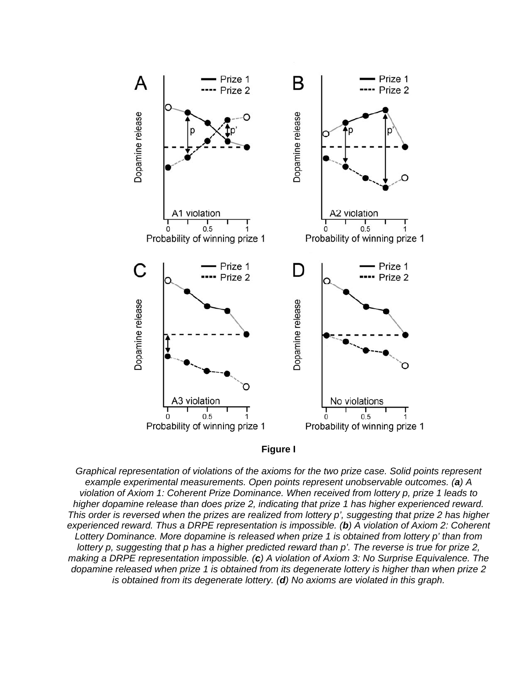



*Graphical representation of violations of the axioms for the two prize case. Solid points represent example experimental measurements. Open points represent unobservable outcomes. (a) A violation of Axiom 1: Coherent Prize Dominance. When received from lottery p, prize 1 leads to higher dopamine release than does prize 2, indicating that prize 1 has higher experienced reward. This order is reversed when the prizes are realized from lottery p', suggesting that prize 2 has higher experienced reward. Thus a DRPE representation is impossible. (b) A violation of Axiom 2: Coherent Lottery Dominance. More dopamine is released when prize 1 is obtained from lottery p' than from lottery p, suggesting that p has a higher predicted reward than p'. The reverse is true for prize 2, making a DRPE representation impossible. (c) A violation of Axiom 3: No Surprise Equivalence. The dopamine released when prize 1 is obtained from its degenerate lottery is higher than when prize 2 is obtained from its degenerate lottery. (d) No axioms are violated in this graph.*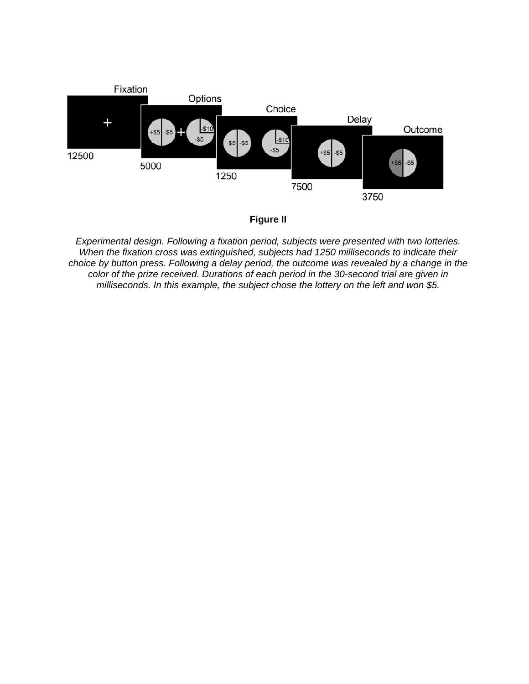



*Experimental design. Following a fixation period, subjects were presented with two lotteries. When the fixation cross was extinguished, subjects had 1250 milliseconds to indicate their choice by button press. Following a delay period, the outcome was revealed by a change in the color of the prize received. Durations of each period in the 30-second trial are given in milliseconds. In this example, the subject chose the lottery on the left and won \$5.*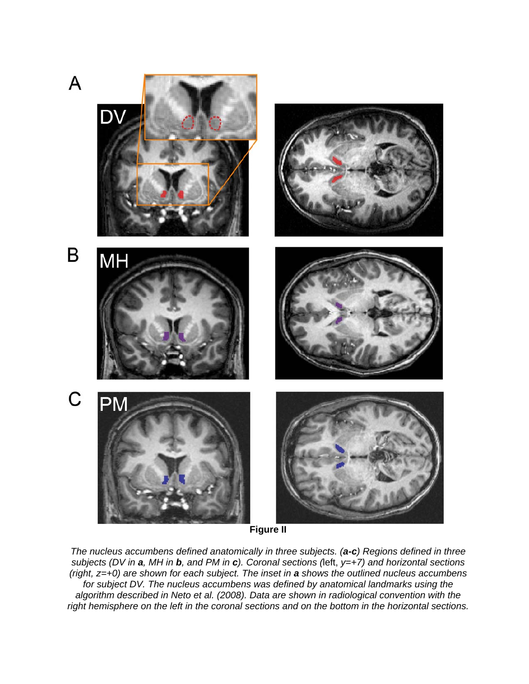

**Figure II** 

*The nucleus accumbens defined anatomically in three subjects. (a-c) Regions defined in three subjects (DV in a, MH in b, and PM in c). Coronal sections (*left, *y=+7) and horizontal sections (right, z=+0) are shown for each subject. The inset in a shows the outlined nucleus accumbens for subject DV. The nucleus accumbens was defined by anatomical landmarks using the algorithm described in Neto et al. (2008). Data are shown in radiological convention with the right hemisphere on the left in the coronal sections and on the bottom in the horizontal sections.*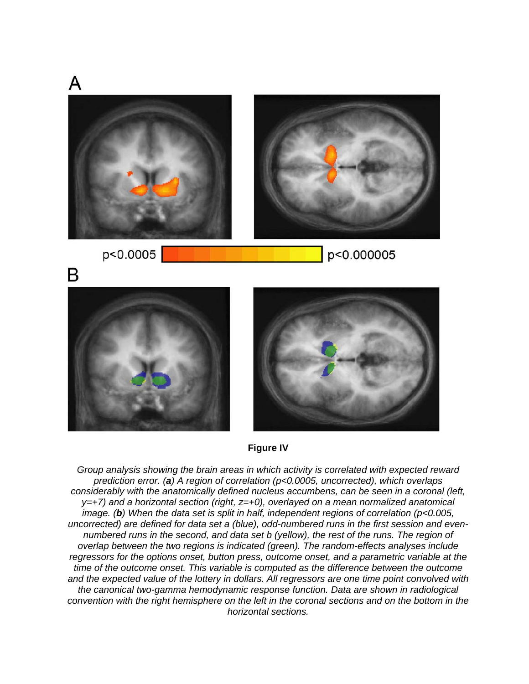



*Group analysis showing the brain areas in which activity is correlated with expected reward prediction error. (a) A region of correlation (p<0.0005, uncorrected), which overlaps considerably with the anatomically defined nucleus accumbens, can be seen in a coronal (left, y=+7) and a horizontal section (right, z=+0), overlayed on a mean normalized anatomical image. (b) When the data set is split in half, independent regions of correlation (p<0.005, uncorrected) are defined for data set a (blue), odd-numbered runs in the first session and evennumbered runs in the second, and data set b (yellow), the rest of the runs. The region of overlap between the two regions is indicated (green). The random-effects analyses include regressors for the options onset, button press, outcome onset, and a parametric variable at the time of the outcome onset. This variable is computed as the difference between the outcome and the expected value of the lottery in dollars. All regressors are one time point convolved with the canonical two-gamma hemodynamic response function. Data are shown in radiological convention with the right hemisphere on the left in the coronal sections and on the bottom in the horizontal sections.*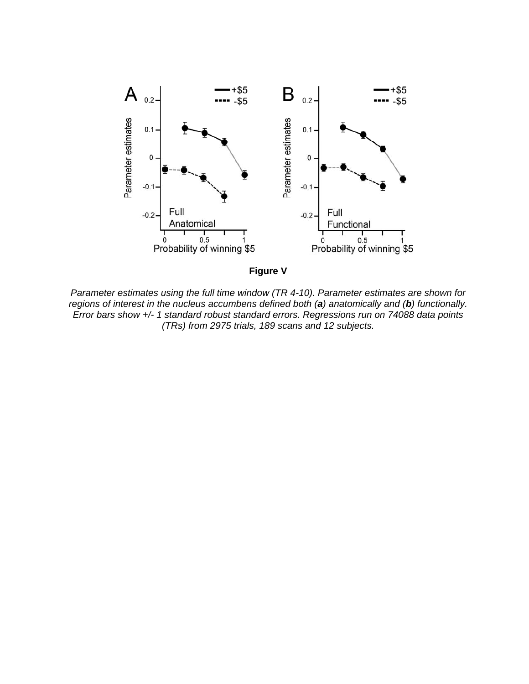



*Parameter estimates using the full time window (TR 4-10). Parameter estimates are shown for regions of interest in the nucleus accumbens defined both (a) anatomically and (b) functionally. Error bars show +/- 1 standard robust standard errors. Regressions run on 74088 data points (TRs) from 2975 trials, 189 scans and 12 subjects.*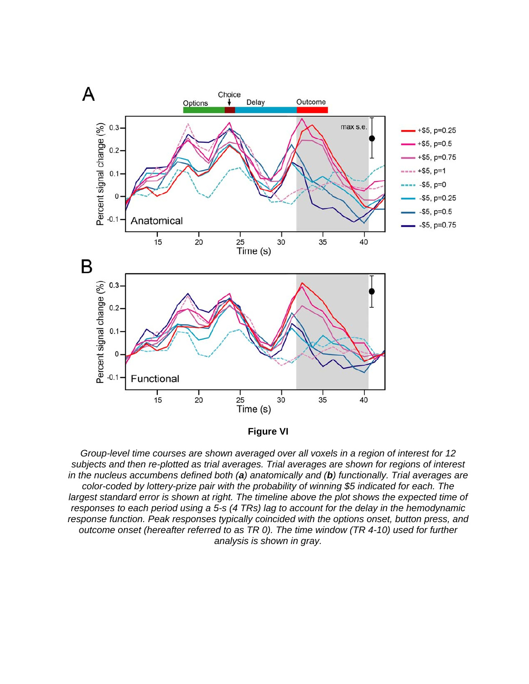

**Figure VI** 

*Group-level time courses are shown averaged over all voxels in a region of interest for 12 subjects and then re-plotted as trial averages. Trial averages are shown for regions of interest in the nucleus accumbens defined both (a) anatomically and (b) functionally. Trial averages are color-coded by lottery-prize pair with the probability of winning \$5 indicated for each. The*  largest standard error is shown at right. The timeline above the plot shows the expected time of *responses to each period using a 5-s (4 TRs) lag to account for the delay in the hemodynamic response function. Peak responses typically coincided with the options onset, button press, and outcome onset (hereafter referred to as TR 0). The time window (TR 4-10) used for further analysis is shown in gray.*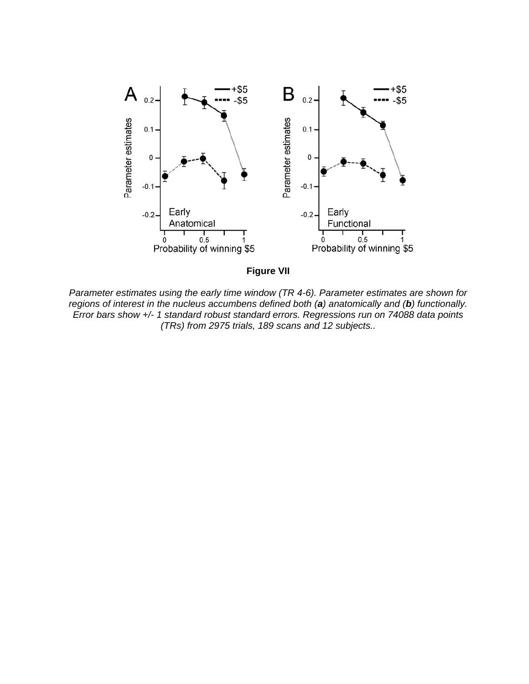



*Parameter estimates using the early time window (TR 4-6). Parameter estimates are shown for regions of interest in the nucleus accumbens defined both (a) anatomically and (b) functionally. Error bars show +/- 1 standard robust standard errors. Regressions run on 74088 data points (TRs) from 2975 trials, 189 scans and 12 subjects..*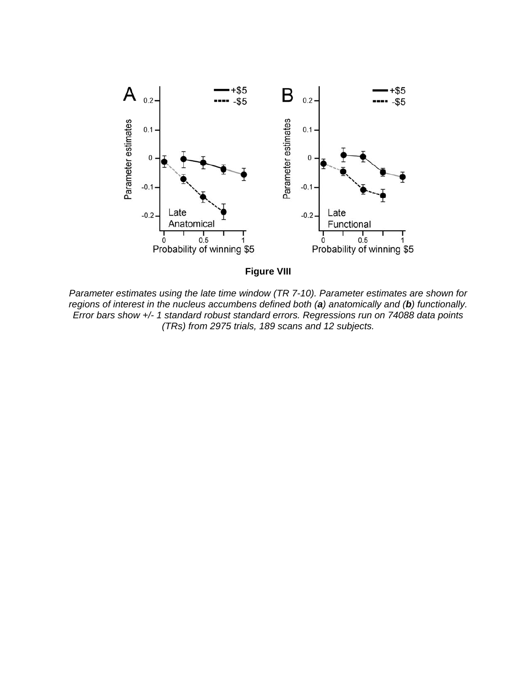

**Figure VIII** 

*Parameter estimates using the late time window (TR 7-10). Parameter estimates are shown for regions of interest in the nucleus accumbens defined both (a) anatomically and (b) functionally. Error bars show +/- 1 standard robust standard errors. Regressions run on 74088 data points (TRs) from 2975 trials, 189 scans and 12 subjects.*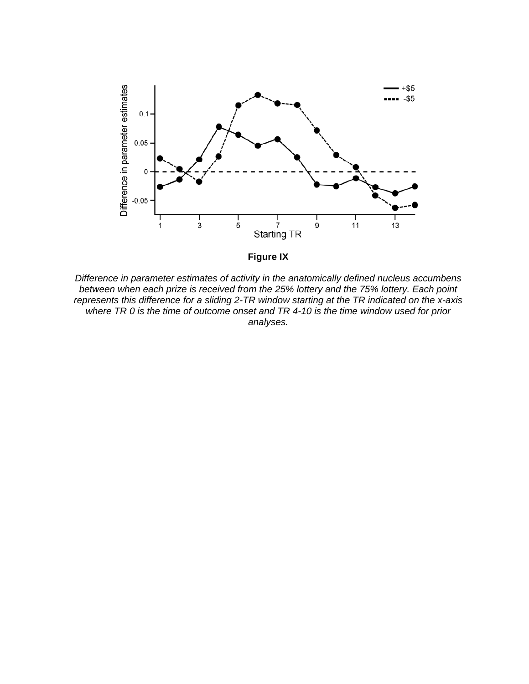

**Figure IX** 

*Difference in parameter estimates of activity in the anatomically defined nucleus accumbens between when each prize is received from the 25% lottery and the 75% lottery. Each point represents this difference for a sliding 2-TR window starting at the TR indicated on the x-axis where TR 0 is the time of outcome onset and TR 4-10 is the time window used for prior analyses.*